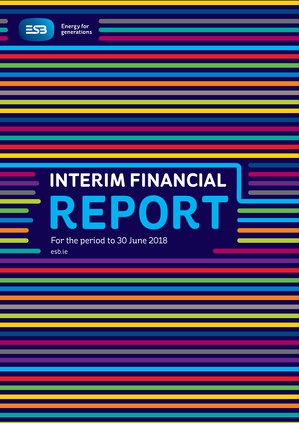

esb.ie

## For the period to 30 June 2018 **INTERIM FINANCIAL REPORT**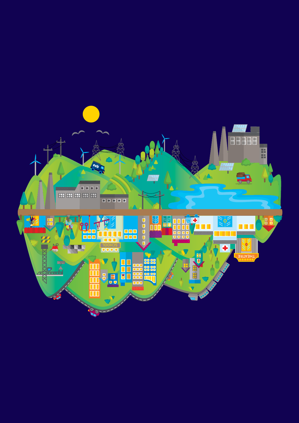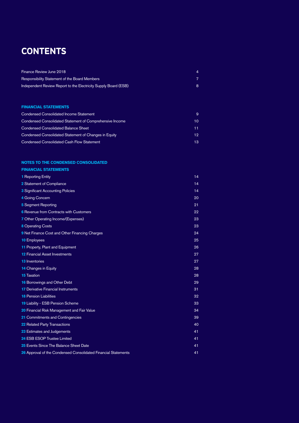### **Contents**

| Finance Review June 2018                                        |  |
|-----------------------------------------------------------------|--|
| Responsibility Statement of the Board Members                   |  |
| Independent Review Report to the Electricity Supply Board (ESB) |  |

### **FINANCIAL STATEMENTS**

| <b>Condensed Consolidated Income Statement</b>           | 9  |
|----------------------------------------------------------|----|
| Condensed Consolidated Statement of Comprehensive Income | 10 |
| <b>Condensed Consolidated Balance Sheet</b>              | 11 |
| Condensed Consolidated Statement of Changes in Equity    | 12 |
| <b>Condensed Consolidated Cash Flow Statement</b>        | 13 |

### **NOTES TO THE CONDENSED CONSOLIDATED**

| <b>FINANCIAL STATEMENTS</b>                                    |    |
|----------------------------------------------------------------|----|
| <b>1 Reporting Entity</b>                                      | 14 |
| 2 Statement of Compliance                                      | 14 |
| <b>3</b> Significant Accounting Policies                       | 14 |
| 4 Going Concern                                                | 20 |
| <b>5</b> Segment Reporting                                     | 21 |
| <b>6</b> Revenue from Contracts with Customers                 | 22 |
| 7 Other Operating Income/(Expenses)                            | 23 |
| <b>8</b> Operating Costs                                       | 23 |
| 9 Net Finance Cost and Other Financing Charges                 | 24 |
| <b>10 Employees</b>                                            | 25 |
| <b>11 Property, Plant and Equipment</b>                        | 26 |
| <b>12 Financial Asset Investments</b>                          | 27 |
| <b>13 Inventories</b>                                          | 27 |
| <b>14 Changes in Equity</b>                                    | 28 |
| <b>15 Taxation</b>                                             | 28 |
| <b>16 Borrowings and Other Debt</b>                            | 29 |
| <b>17 Derivative Financial Instruments</b>                     | 31 |
| <b>18 Pension Liabilities</b>                                  | 32 |
| 19 Liability - ESB Pension Scheme                              | 33 |
| 20 Financial Risk Management and Fair Value                    | 34 |
| 21 Commitments and Contingencies                               | 39 |
| <b>22</b> Related Party Transactions                           | 40 |
| 23 Estimates and Judgements                                    | 41 |
| 24 ESB ESOP Trustee Limited                                    | 41 |
| <b>25</b> Events Since The Balance Sheet Date                  | 41 |
| 26 Approval of the Condensed Consolidated Financial Statements | 41 |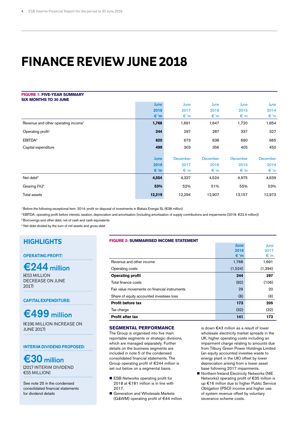## **FINANCE REVIEW JUNE 2018**

#### **Figure 1: Five-year summary Six months to 30 June**

| <b>June</b>      | June             | June             | June             | June             |
|------------------|------------------|------------------|------------------|------------------|
| 2018             | 2017             | 2016             | 2015             | 2014             |
| $\varepsilon$ 'm | $\varepsilon$ 'm | $\varepsilon$ 'm | $\varepsilon$ 'm | $\varepsilon$ 'm |
| 1,768            | 1,691            | 1,647            | 1,720            | 1,654            |
| 244              | 297              | 287              | 337              | 327              |
| 620              | 673              | 638              | 690              | 665              |
| 499              | 303              | 356              | 405              | 450              |
|                  |                  |                  |                  |                  |
|                  |                  |                  |                  | <b>December</b>  |
| 2018             | 2017             | 2016             | 2015             | 2014             |
| $\varepsilon$ 'm | $\varepsilon$ 'm | $\varepsilon$ 'm | $\varepsilon$ 'm | $\varepsilon$ 'm |
| 4,554            | 4,337            | 4,524            | 4,975            | 4,639            |
| 53%              | 52%              | 51%              | 55%              | 53%              |
| 12,219           | 12,294           | 12,907           | 13,157           | 12,973           |
|                  | <b>June</b>      | <b>December</b>  | <b>December</b>  | <b>December</b>  |

1 Before the following exceptional item: 2014: profit on disposal of investments in Bizkaia Energia SL (€38 million)

2 EBITDA: operating profit before interest, taxation, depreciation and amortisation (including amortisation of supply contributions and impairments (2018: €22.4 million))

<sup>3</sup> Borrowings and other debt, net of cash and cash equivalents

4 Net debt divided by the sum of net assets and gross debt

### **HIGHLIGHTS**

### **OPERATING PROFIT:**

(€53 Million DECREASE ON JUNE 2017) €244million

### **CAPITAL EXPENDITURE:**

### €499million

(€196 Million increase ON JUNE 2017)

### **INTERIM DIVIDEND proposed:**

(2017 INTERIM DIVIDEND €55 MILLION) €30million

See note 25 in the condensed consolidated financial statements for dividend details

### **Figure 2: Summarised income statement 2017 2016**

|                                               | 2018             | 2017          |
|-----------------------------------------------|------------------|---------------|
|                                               | $\varepsilon$ 'm | $\epsilon$ 'm |
| Revenue and other income                      | 1,768            | 1,691         |
| Operating costs                               | (1,524)          | (1, 394)      |
| <b>Operating profit</b>                       | 244              | 297           |
| Total finance costs                           | (92)             | (106)         |
| Fair value movements on financial instruments | 29               | 20            |
| Share of equity accounted investees loss      | (8)              | (6)           |
| <b>Profit before tax</b>                      | 173              | 205           |
| Tax charge                                    | (32)             | (32)          |
| <b>Profit after tax</b>                       | 141              | 173           |

### **SEGMENTAL PERFORMANCE**

The Group is organised into five main reportable segments or strategic divisions, which are managed separately. Further details on the business segments are included in note 5 of the condensed consolidated financial statements. The Group operating profit of €244 million is set out below on a segmental basis.

- **ESB Networks operating profit for** 2018 at €181 million is in line with 2017.
- Generation and Wholesale Markets (G&WM) operating profit of €44 million

is down €43 million as a result of lower wholesale electricity market spreads in the UK, higher operating costs including an impairment charge relating to amounts due from Tilbury Green Power Holdings Limited (an equity accounted investee waste to energy plant in the UK) offset by lower depreciation arising from a lower asset base following 2017 impairments.

**June**

June

Northern Ireland Electricity Networks (NIE Networks) operating profit of €35 million is up €16 million due to higher Public Service Obligation (PSO) income and higher use of system revenue offset by voluntary severance scheme costs.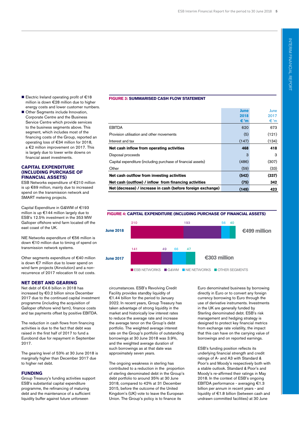■ Electric Ireland operating profit of €18 million is down €28 million due to higher energy costs and lower customer numbers.

Other Segments include Innovation, Corporate Centre and the Business Service Centre which provide services to the business segments above. This segment, which includes most of the financing costs of the Group, reported an operating loss of €34 million for 2018, a €2 million improvement on 2017. This is largely due to lower write downs on financial asset investments.

### **CAPITAL EXPENDITURE (including purchase of financial assets)**

ESB Networks expenditure of €210 million is up €69 million, mainly due to increased spend on the transmission network and SMART metering projects.

Capital Expenditure in G&WM of €193 million is up €144 million largely due to ESB's 12.5% investment in the 353 MW Galloper offshore wind farm located off the east coast of the UK.

NIE Networks expenditure of €56 million is down €10 million due to timing of spend on transmission network systems.

Other seaments expenditure of €40 million is down €7 million due to lower spend on wind farm projects (Airvolution) and a nonrecurrence of 2017 relocation fit out costs.

### **NET DEBT AND GEARING**

Net debt of €4.6 billion in 2018 has increased by €0.2 billion since December 2017 due to the continued capital investment programme (including the acquisition of Galloper offshore wind farm), finance costs and tax payments offset by positive EBITDA.

The reduction in cash flows from financing activities is due to the fact that debt was raised in the first half of 2017 to fund a Eurobond due for repayment in September 2017.

The gearing level of 53% at 30 June 2018 is marginally higher than December 2017 due to higher net debt.

### **FUNDING**

Group Treasury's funding activities support ESB's substantial capital expenditure programme, the refinancing of maturing debt and the maintenance of a sufficient liquidity buffer against future unforseen

### **FIGURE 3: SUMMARISED CASH FLOW STATEMENT**

|                                                              | June             | June          |
|--------------------------------------------------------------|------------------|---------------|
|                                                              | 2018             | 2017          |
|                                                              | $\varepsilon$ 'm | $\epsilon$ 'm |
| <b>EBITDA</b>                                                | 620              | 673           |
| Provision utilisation and other movements                    | (5)              | (121)         |
| Interest and tax                                             | (147)            | (134)         |
| Net cash inflow from operating activities                    | 468              | 418           |
| Disposal proceeds                                            | 3                | 3             |
| Capital expenditure (including purchase of financial assets) | (486)            | (307)         |
| Other                                                        | (59)             | (33)          |
| Net cash outflow from investing activities                   | (542)            | (337)         |
| Net cash (outflow) / inflow from financing activities        | (75)             | 342           |
| Net (decrease) / increase in cash (before foreign exchange)  | (149)            | 423           |



circumstances. ESB's Revolving Credit Facility provides standby liquidity of €1.44 billion for the period to January 2022. In recent years, Group Treasury has taken advantage of strong liquidity in the market and historically low interest rates to reduce the average rate and increase the average tenor on the Group's debt portfolio. The weighted average interest rate on the Group's portfolio of outstanding borrowings at 30 June 2018 was 3.9%, and the weighted average duration of such borrowings as at that date was approximately seven years.

The ongoing weakness in sterling has contributed to a reduction in the proportion of sterling denominated debt in the Group's debt portfolio to around 35% at 30 June 2018, compared to 42% at 31 December 2015, before the outcome of the United Kingdom's (UK) vote to leave the European Union. The Group's policy is to finance its

Euro denominated business by borrowing directly in Euro or to convert any foreign currency borrowing to Euro through the use of derivative instruments. Investments in the UK are generally funded by Sterling denominated debt. ESB's risk management and hedging strategy is designed to protect key financial metrics from exchange rate volatility, the impact that this can have on the carrying value of borrowings and on reported earnings.

ESB's funding position reflects its underlying financial strength and credit ratings of A- and A3 with Standard & Poor's and Moody's respectively both with a stable outlook. Standard & Poor's and Moody's re-affirmed their ratings in May 2018. In the context of ESB's ongoing EBITDA performance - averaging €1.3 billion per annum in recent years - and liquidity of €1.8 billion (between cash and undrawn committed facilities) at 30 June

### **Figure 4: Capital Expenditure (including purchase of financial assets)**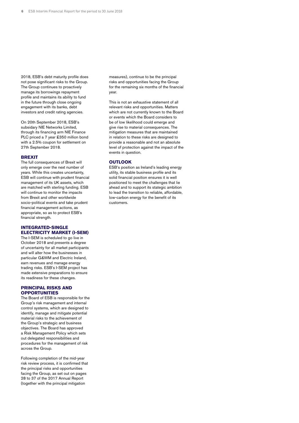2018, ESB's debt maturity profile does not pose significant risks to the Group. The Group continues to proactively manage its borrowings repayment profile and maintains its ability to fund in the future through close ongoing engagement with its banks, debt investors and credit rating agencies.

On 20th September 2018, ESB's subsidary NIE Networks Limited, through its financing arm NIE Finance PLC priced a 7 year £350 million bond with a 2.5% coupon for settlement on 27th September 2018.

### **BREXIT**

The full consequences of Brexit will only emerge over the next number of years. While this creates uncertainty, ESB will continue with prudent financial management of its UK assets, which are matched with sterling funding. ESB will continue to monitor the impacts from Brexit and other worldwide socio-political events and take prudent financial management actions, as appropriate, so as to protect ESB's financial strength.

### **Integrated-Single Electricity Market (I-SEM)**

The I-SEM is scheduled to go live in October 2018 and presents a degree of uncertainty for all market participants and will alter how the businesses in particular G&WM and Electric Ireland, earn revenues and manage energy trading risks. ESB's I-SEM project has made extensive preparations to ensure its readiness for these changes.

### **PRINCIPAL RISKS AND OPPORTUNITIES**

The Board of ESB is responsible for the Group's risk management and internal control systems, which are designed to identify, manage and mitigate potential material risks to the achievement of the Group's strategic and business objectives. The Board has approved a Risk Management Policy which sets out delegated responsibilities and procedures for the management of risk across the Group.

Following completion of the mid-year risk review process, it is confirmed that the principal risks and opportunities facing the Group, as set out on pages 28 to 37 of the 2017 Annual Report (together with the principal mitigation

measures), continue to be the principal risks and opportunities facing the Group for the remaining six months of the financial year.

This is not an exhaustive statement of all relevant risks and opportunities. Matters which are not currently known to the Board or events which the Board considers to be of low likelihood could emerge and give rise to material consequences. The mitigation measures that are maintained in relation to these risks are designed to provide a reasonable and not an absolute level of protection against the impact of the events in question.

### **OUTLOOK**

ESB's position as Ireland's leading energy utility, its stable business profile and its solid financial position ensures it is well positioned to meet the challenges that lie ahead and to support its stategic ambition to lead the transition to reliable, affordable, low-carbon energy for the benefit of its customers.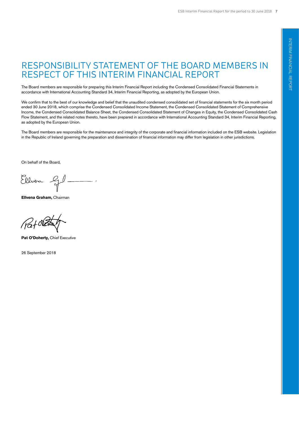### RESPONSIBILITY STATEMENT OF THE BOARD MEMBERS IN RESPECT OF THIS INTERIM FINANCIAL REPORT

The Board members are responsible for preparing this Interim Financial Report including the Condensed Consolidated Financial Statements in accordance with International Accounting Standard 34, Interim Financial Reporting, as adopted by the European Union.

We confirm that to the best of our knowledge and belief that the unaudited condensed consolidated set of financial statements for the six month period ended 30 June 2018, which comprise the Condensed Consolidated Income Statement, the Condensed Consolidated Statement of Comprehensive Income, the Condensed Consolidated Balance Sheet, the Condensed Consolidated Statement of Changes in Equity, the Condensed Consolidated Cash Flow Statement, and the related notes thereto, have been prepared in accordance with International Accounting Standard 34, Interim Financial Reporting, as adopted by the European Union.

The Board members are responsible for the maintenance and integrity of the corporate and financial information included on the ESB website. Legislation in the Republic of Ireland governing the preparation and dissemination of financial information may differ from legislation in other jurisdictions.

On behalf of the Board,

Ellvera Gl

**Ellvena Graham,** Chairman

 $/6108$ 

**Pat O'Doherty,** Chief Executive

26 September 2018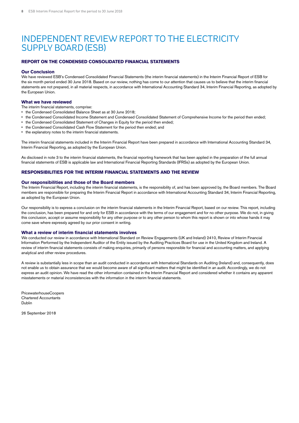### independent review report to the electricity supply board (ESB)

### **Report on the condensed consolidated financial statements**

### **Our Conclusion**

We have reviewed ESB's Condensed Consolidated Financial Statements (the interim financial statements) in the Interim Financial Report of ESB for the six month period ended 30 June 2018. Based on our review, nothing has come to our attention that causes us to believe that the interim financial statements are not prepared, in all material respects, in accordance with International Accounting Standard 34, Interim Financial Reporting, as adopted by the European Union.

### **What we have reviewed**

The interim financial statements, comprise:

- the Condensed Consolidated Balance Sheet as at 30 June 2018;
- the Condensed Consolidated Income Statement and Condensed Consolidated Statement of Comprehensive Income for the period then ended;
- the Condensed Consolidated Statement of Changes in Equity for the period then ended;
- the Condensed Consolidated Cash Flow Statement for the period then ended; and
- the explanatory notes to the interim financial statements.

The interim financial statements included in the Interim Financial Report have been prepared in accordance with International Accounting Standard 34, Interim Financial Reporting, as adopted by the European Union.

As disclosed in note 3 to the interim financial statements, the financial reporting framework that has been applied in the preparation of the full annual financial statements of ESB is applicable law and International Financial Reporting Standards (IFRSs) as adopted by the European Union.

### **Responsibilities for the interim financial statements and the review**

### **Our responsibilities and those of the Board members**

The Interim Financial Report, including the interim financial statements, is the responsibility of, and has been approved by, the Board members. The Board members are responsible for preparing the Interim Financial Report in accordance with International Accounting Standard 34, Interim Financial Reporting, as adopted by the European Union.

Our responsibility is to express a conclusion on the interim financial statements in the Interim Financial Report, based on our review. This report, including the conclusion, has been prepared for and only for ESB in accordance with the terms of our engagement and for no other purpose. We do not, in giving this conclusion, accept or assume responsibility for any other purpose or to any other person to whom this report is shown or into whose hands it may come save where expressly agreed by our prior consent in writing.

### **What a review of interim financial statements involves**

We conducted our review in accordance with International Standard on Review Engagements (UK and Ireland) 2410, Review of Interim Financial Information Performed by the Independent Auditor of the Entity issued by the Auditing Practices Board for use in the United Kingdom and Ireland. A review of interim financial statements consists of making enquiries, primarily of persons responsible for financial and accounting matters, and applying analytical and other review procedures.

A review is substantially less in scope than an audit conducted in accordance with International Standards on Auditing (Ireland) and, consequently, does not enable us to obtain assurance that we would become aware of all significant matters that might be identified in an audit. Accordingly, we do not express an audit opinion. We have read the other information contained in the Interim Financial Report and considered whether it contains any apparent misstatements or material inconsistencies with the information in the interim financial statements.

PricewaterhouseCoopers Chartered Accountants Dublin

26 September 2018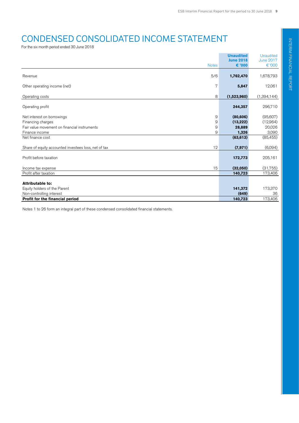### Condensed Consolidated Income Statement

For the six month period ended 30 June 2018

|                                                             | <b>Unaudited</b><br><b>June 2018</b> | Unaudited<br><b>June 2017</b> |
|-------------------------------------------------------------|--------------------------------------|-------------------------------|
| <b>Notes</b>                                                | € '000                               | $\epsilon$ '000               |
|                                                             |                                      |                               |
| 5/6<br>Revenue                                              | 1,762,470                            | 1,678,793                     |
| 7<br>Other operating income (net)                           | 5,847                                | 12,061                        |
| 8<br>Operating costs                                        | (1,523,960)                          | (1,394,144)                   |
| Operating profit                                            | 244,357                              | 296,710                       |
| 9<br>Net interest on borrowings                             | (80, 606)                            | (95,607)                      |
| 9<br>Financing charges                                      | (13, 222)                            | (12,964)                      |
| Fair value movement on financial instruments<br>9           | 28,889                               | 20,026                        |
| 9<br>Finance income                                         | 1,326                                | 3,090                         |
| Net finance cost                                            | (63, 613)                            | (85, 455)                     |
| Share of equity accounted investees loss, net of tax<br>12  | (7, 971)                             | (6,094)                       |
| Profit before taxation                                      | 172,773                              | 205,161                       |
| 15<br>Income tax expense                                    | (32,050)                             | (31,755)                      |
| Profit after taxation                                       | 140,723                              | 173,406                       |
| <b>Attributable to:</b>                                     |                                      |                               |
|                                                             |                                      |                               |
| Equity holders of the Parent                                | 141,372<br>(649)                     | 173,370<br>36                 |
| Non-controlling interest<br>Profit for the financial period | 140,723                              | 173,406                       |
|                                                             |                                      |                               |

Notes 1 to 26 form an integral part of these condensed consolidated financial statements.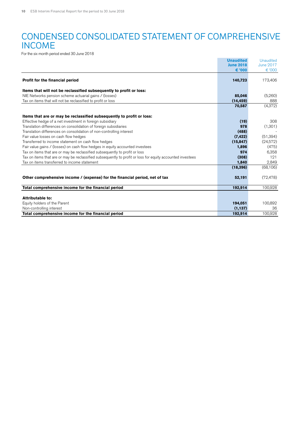### Condensed Consolidated Statement of Comprehensive Income

For the six month period ended 30 June 2018

|                                                                                                            | <b>Unaudited</b> | Unaudited        |
|------------------------------------------------------------------------------------------------------------|------------------|------------------|
|                                                                                                            | <b>June 2018</b> | <b>June 2017</b> |
|                                                                                                            | € '000           | € '000           |
| Profit for the financial period                                                                            | 140,723          | 173,406          |
|                                                                                                            |                  |                  |
| Items that will not be reclassified subsequently to profit or loss:                                        |                  |                  |
| NIE Networks pension scheme actuarial gains / (losses)                                                     | 85,046           | (5,260)          |
| Tax on items that will not be reclassified to profit or loss                                               | (14.459)         | 888              |
|                                                                                                            | 70,587           | (4,372)          |
|                                                                                                            |                  |                  |
| Items that are or may be reclassified subsequently to profit or loss:                                      |                  |                  |
| Effective hedge of a net investment in foreign subsidiary                                                  | (19)             | 308              |
| Translation differences on consolidation of foreign subsidiaries                                           | 978              | (1,301)          |
| Translation differences on consolidation of non-controlling interest                                       | (488)            |                  |
| Fair value losses on cash flow hedges                                                                      | (7, 422)         | (51,394)         |
| Transferred to income statement on cash flow hedges                                                        | (15, 847)        | (24, 572)        |
| Fair value gains / (losses) on cash flow hedges in equity accounted investees                              | 1,896            | (475)            |
| Tax on items that are or may be reclassified subsequently to profit or loss                                | 974              | 6,358            |
| Tax on items that are or may be reclassified subsequently to profit or loss for equity accounted investees | (308)            | 121              |
| Tax on items transferred to income statement                                                               | 1,840            | 2.849            |
|                                                                                                            | (18, 396)        | (68, 106)        |
|                                                                                                            |                  |                  |
| Other comprehensive income / (expense) for the financial period, net of tax                                | 52,191           | (72, 478)        |
| Total comprehensive income for the financial period                                                        | 192,914          | 100,928          |
|                                                                                                            |                  |                  |
| <b>Attributable to:</b>                                                                                    |                  |                  |
| Equity holders of the Parent                                                                               | 194,051          | 100,892          |
| Non-controlling interest                                                                                   | (1, 137)         | 36               |
| Total comprehensive income for the financial period                                                        | 192,914          | 100,928          |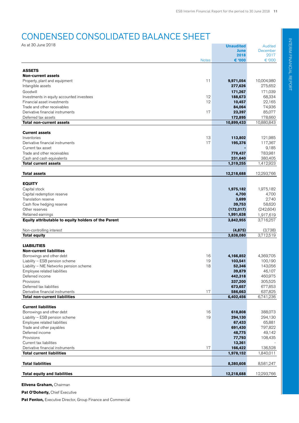### Condensed Consolidated Balance Sheet

| As at 30 June 2018                                                | <b>Unaudited</b>     | <b>Audited</b>     |
|-------------------------------------------------------------------|----------------------|--------------------|
|                                                                   | June<br>2018         | December<br>2017   |
| <b>Notes</b>                                                      | € '000               | € '000             |
| <b>ASSETS</b>                                                     |                      |                    |
| <b>Non-current assets</b>                                         |                      |                    |
| 11<br>Property, plant and equipment                               | 9,971,054            | 10,004,980         |
| Intangible assets                                                 | 277,626              | 275,652            |
| Goodwill                                                          | 171,267              | 171,039            |
| 12<br>Investments in equity accounted investees                   | 188,673              | 68,334             |
| 12<br>Financial asset investments                                 | 10,457               | 22,165             |
| Trade and other receivables                                       | 84,064               | 74,936             |
| Derivative financial instruments<br>17                            | 23,397               | 85,077             |
| Deferred tax assets                                               | 172,895              | 178,660            |
| <b>Total non-current assets</b>                                   | 10,899,433           | 10,880,843         |
| <b>Current assets</b>                                             |                      |                    |
| Inventories<br>13                                                 | 113,802              | 121,985            |
| 17<br>Derivative financial instruments                            | 195,376              | 117,367            |
| Current tax asset                                                 |                      | 9,185              |
| Trade and other receivables                                       | 778,437              | 783,981            |
| Cash and cash equivalents                                         | 231,640              | 380,405            |
| <b>Total current assets</b>                                       | 1,319,255            | 1,412,923          |
| <b>Total assets</b>                                               | 12,218,688           | 12,293,766         |
|                                                                   |                      |                    |
| <b>EQUITY</b>                                                     |                      |                    |
| Capital stock                                                     | 1,975,182            | 1,975,182<br>4,700 |
| Capital redemption reserve<br>Translation reserve                 | 4,700<br>3,699       | 2,740              |
| Cash flow hedging reserve                                         | 39,753               | 58,620             |
| Other reserves                                                    | (172, 017)           | (242, 604)         |
| Retained earnings                                                 | 1,991,638            | 1,917,619          |
| Equity attributable to equity holders of the Parent               | 3,842,955            | 3,716,257          |
|                                                                   |                      |                    |
| Non-controlling interest                                          | (4,875)              | (3,738)            |
| <b>Total equity</b>                                               | 3,838,080            | 3,712,519          |
| <b>LIABILITIES</b>                                                |                      |                    |
| <b>Non-current liabilities</b>                                    |                      |                    |
| Borrowings and other debt<br>16                                   | 4,166,852            | 4,369,705          |
| 19<br>Liability - ESB pension scheme                              | 103,541              | 100,190            |
| Liability - NIE Networks pension scheme<br>18                     | 52,346               | 143,056            |
| Employee related liabilities                                      | 39,879               | 46,107             |
| Deferred income<br>Provisions                                     | 442,318<br>337,200   | 460,975<br>305,525 |
| Deferred tax liabilities                                          | 673,657              | 677,853            |
| Derivative financial instruments<br>17                            | 586,663              | 637,825            |
| <b>Total non-current liabilities</b>                              | 6,402,456            | 6,741,236          |
|                                                                   |                      |                    |
| <b>Current liabilities</b>                                        |                      |                    |
| Borrowings and other debt<br>16                                   | 618,808              | 388,073            |
| 19<br>Liability - ESB pension scheme                              | 294,130              | 294,130            |
| Employee related liabilities                                      | 67,433               | 65,881             |
| Trade and other payables                                          | 691,430              | 797,822            |
| Deferred income<br>Provisions                                     | 48,775               | 49,142             |
|                                                                   | 77,793               | 108,435            |
| Current tax liabilities<br>17<br>Derivative financial instruments | 13,361               | 136,528            |
| <b>Total current liabilities</b>                                  | 166,422<br>1,978,152 | 1,840,011          |
|                                                                   |                      |                    |
| <b>Total liabilities</b>                                          | 8,380,608            | 8,581,247          |
| <b>Total equity and liabilities</b>                               | 12,218,688           | 12,293,766         |

**Ellvena Graham,** Chairman

**Pat O'Doherty, Chief Executive** 

Pat Fenlon, Executive Director, Group Finance and Commercial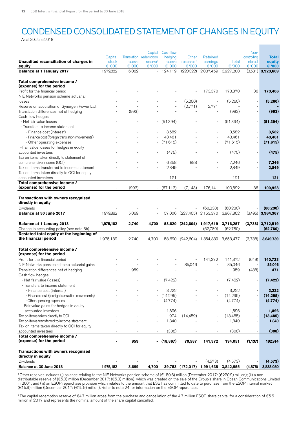### Condensed Consolidated Statement of Changesin Equity As at 30 June 2018

|                                                                      |                          |         | Capital                | Cash flow    |                       |                                       |                       | Non-                     |                       |
|----------------------------------------------------------------------|--------------------------|---------|------------------------|--------------|-----------------------|---------------------------------------|-----------------------|--------------------------|-----------------------|
|                                                                      | Capital                  |         | Translation redemption | hedging      | <b>Other</b>          | <b>Retained</b>                       |                       | controlling              | <b>Total</b>          |
| Unaudited reconciliation of charges in                               | stock                    | reserve | reserve <sup>2</sup>   | reserve      | reserves <sup>1</sup> | earnings                              | Total                 | interest                 | equity                |
| equity                                                               | € '000                   | € '000  | $\epsilon$ '000        | € '000       | € '000                | € '000                                | € '000                | $6000 \div$              | € '000                |
| <b>Balance at 1 January 2017</b>                                     | 1,979,882                | 6,062   |                        | 124,119      | (220, 322)            | 2,037,459                             | 3,927,200             |                          | $(3,531)$ 3,923,669   |
|                                                                      |                          |         |                        |              |                       |                                       |                       |                          |                       |
| Total comprehensive income /<br>(expense) for the period             |                          |         |                        |              |                       |                                       |                       |                          |                       |
|                                                                      |                          |         |                        |              |                       | 173,370                               | 173,370               | 36                       | 173,406               |
| Profit for the financial period                                      |                          |         |                        |              |                       |                                       |                       |                          |                       |
| NIE Networks pension scheme actuarial                                |                          |         |                        |              |                       |                                       |                       |                          |                       |
| losses                                                               |                          |         |                        |              | (5,260)               |                                       | (5,260)               | $\overline{\phantom{a}}$ | (5,260)               |
| Reserve on acquisition of Synergen Power Ltd.                        |                          |         |                        |              | (2,771)               | 2,771                                 |                       |                          |                       |
| Translation differences net of hedging                               |                          | (993)   |                        |              |                       |                                       | (993)                 | $\overline{\phantom{0}}$ | (993)                 |
| Cash flow hedges:                                                    |                          |         |                        |              |                       |                                       |                       |                          |                       |
| - Net fair value losses                                              |                          |         |                        | (51, 394)    |                       |                                       | (51, 394)             | ÷,                       | (51, 394)             |
| - Transfers to income statement                                      |                          |         |                        |              |                       |                                       |                       |                          |                       |
| - Finance cost (interest)                                            |                          |         |                        | 3,582        |                       |                                       | 3,582                 |                          | 3,582                 |
| - Finance cost (foreign translation movements)                       |                          |         |                        | 43,461       |                       |                                       | 43,461                |                          | 43,461                |
| - Other operating expenses                                           |                          |         |                        | (71, 615)    |                       |                                       | (71, 615)             | L,                       | (71, 615)             |
| - Fair value losses for hedges in equity                             |                          |         |                        |              |                       |                                       |                       |                          |                       |
| accounted investees                                                  |                          |         |                        | (475)        |                       |                                       | (475)                 | ÷,                       | (475)                 |
| Tax on items taken directly to statement of                          |                          |         |                        |              |                       |                                       |                       |                          |                       |
| comprehensive income (OCI)                                           |                          |         |                        | 6,358        | 888                   |                                       | 7,246                 | ÷,                       | 7,246                 |
| Tax on items transferred to income statement                         |                          |         |                        | 2,849        |                       |                                       | 2,849                 | ÷,                       | 2,849                 |
|                                                                      |                          |         |                        |              |                       |                                       |                       |                          |                       |
| Tax on items taken directly to OCI for equity<br>accounted investees |                          |         |                        | 121          |                       |                                       | 121                   | ÷,                       |                       |
|                                                                      |                          |         |                        |              |                       |                                       |                       |                          | 121                   |
| Total comprehensive income /                                         |                          |         |                        |              |                       |                                       |                       |                          |                       |
| (expense) for the period                                             | $\overline{\phantom{a}}$ | (993)   | $\sim$                 | (67, 113)    | (7, 143)              | 176,141                               | 100,892               | 36                       | 100,928               |
|                                                                      |                          |         |                        |              |                       |                                       |                       |                          |                       |
| Transactions with owners recognised                                  |                          |         |                        |              |                       |                                       |                       |                          |                       |
| directly in equity                                                   |                          |         |                        |              |                       |                                       |                       |                          |                       |
| Dividends                                                            |                          |         |                        |              |                       | (60, 230)                             | (60, 230)             |                          | (60, 230)             |
| Balance at 30 June 2017                                              | 1,979,882                | 5,069   | $\sim$                 | 57,006       | (227, 465)            | 2,153,370                             | 3,967,862             | (3,495)                  | 3,964,367             |
|                                                                      |                          |         |                        |              |                       |                                       |                       |                          |                       |
| <b>Balance at 1 January 2018</b>                                     | 1,975,182                | 2,740   | 4,700                  | 58,620       | (242, 604)            | 1,917,619                             | 3,716,257             |                          | $(3,738)$ 3,712,519   |
| Change in accounting policy (see note 3b)                            |                          |         |                        |              |                       | (62,780)                              | (62,780)              |                          | (62, 780)             |
| Restated total equity at the beginning of                            |                          |         |                        |              |                       |                                       |                       |                          |                       |
| the financial period                                                 | 1,975,182                | 2,740   | 4,700                  | 58,620       |                       | (242,604) 1,854,839                   | 3,653,477             | (3,738)                  | 3,649,739             |
|                                                                      |                          |         |                        |              |                       |                                       |                       |                          |                       |
| Total comprehensive income /                                         |                          |         |                        |              |                       |                                       |                       |                          |                       |
| (expense) for the period                                             |                          |         |                        |              |                       |                                       |                       |                          |                       |
| Profit for the financial period                                      |                          |         |                        |              |                       | 141,372                               | 141,372               | (649)                    | 140,723               |
| NIE Networks pension scheme actuarial gains                          |                          |         |                        |              | 85,046                |                                       | 85,046                |                          | 85,046                |
| Translation differences net of hedging                               |                          | 959     |                        |              | ÷.                    |                                       | 959                   | (488)                    | 471                   |
|                                                                      |                          |         |                        |              |                       |                                       |                       |                          |                       |
| Cash flow hedges:                                                    |                          |         |                        |              |                       |                                       |                       |                          |                       |
| - Net fair value (losses)                                            |                          |         |                        | (7, 422)     |                       |                                       | (7, 422)              | $\overline{\phantom{m}}$ | (7, 422)              |
| - Transfers to income statement                                      |                          |         |                        |              |                       |                                       |                       |                          |                       |
| - Finance cost (interest)                                            |                          |         |                        | 3,222        |                       |                                       | 3,222                 | $\overline{\phantom{m}}$ | 3,222                 |
| - Finance cost (foreign translation movements)                       |                          |         |                        | (14,295)     |                       |                                       | (14,295)              |                          | (14, 295)             |
| - Other operating expenses                                           |                          |         |                        | (4,774)      |                       |                                       | (4,774)               |                          | (4,774)               |
| - Fair value gains for hedges in equity                              |                          |         |                        |              |                       |                                       |                       |                          |                       |
| accounted investees                                                  |                          |         |                        | 1,896        |                       |                                       | 1,896                 | $\overline{\phantom{a}}$ | 1,896                 |
| Tax on items taken directly to OCI                                   |                          |         |                        | 974          | (14, 459)             |                                       | (13, 485)             |                          | (13, 485)             |
| Tax on items transferred to income statement                         |                          |         |                        | 1,840        |                       |                                       | 1,840                 |                          | 1,840                 |
| Tax on items taken directly to OCI for equity                        |                          |         |                        |              |                       |                                       |                       |                          |                       |
| accounted investees                                                  |                          |         |                        | (308)        |                       |                                       | (308)                 | ÷,                       | (308)                 |
| Total comprehensive income /                                         |                          |         |                        |              |                       |                                       |                       |                          |                       |
| (expense) for the period                                             | ۰                        | 959     |                        | $-$ (18,867) | 70,587                | 141,372                               | 194,051               | (1, 137)                 | 192,914               |
|                                                                      |                          |         |                        |              |                       |                                       |                       |                          |                       |
| Transactions with owners recognised                                  |                          |         |                        |              |                       |                                       |                       |                          |                       |
|                                                                      |                          |         |                        |              |                       |                                       |                       |                          |                       |
|                                                                      |                          |         |                        |              |                       |                                       |                       |                          |                       |
| directly in equity                                                   |                          |         |                        |              |                       |                                       |                       |                          |                       |
| Dividends<br>Balance at 30 June 2018                                 | 1,975,182                | 3,699   | 4,700                  |              |                       | (4,573)<br>39,753 (172,017) 1,991,638 | (4, 573)<br>3,842,955 | (4, 875)                 | (4, 573)<br>3,838,080 |

1 Other reserves includes (i) balance relating to the NIE Networks pension scheme of (€150.6) million (December 2017: (€220.9) million); (ii) a nondistributable reserve of (€5.0) million (December 2017: (€5.0) million), which was created on the sale of the Group's share in Ocean Communications Limited in 2001; and (iii) an ESOP repurchase provision which relates to the amount that ESB has committed to date to purchase from the ESOP internal market (€15.9) million (December 2017: (€15.9) million). Refer to note 24 for information on the ESOP repurchase.

<sup>2</sup>The capital redemption reserve of €4.7 million arose from the purchase and cancellation of the 4.7 million ESOP share capital for a consideration of €5.6 million in 2017 and represents the nominal amount of the share capital cancelled.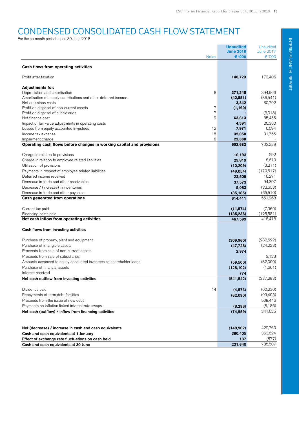### Condensed Consolidated Cash Flow Statement

For the six month period ended 30 June 2018

|                                                                       | <b>Unaudited</b> | <b>Unaudited</b> |
|-----------------------------------------------------------------------|------------------|------------------|
|                                                                       | <b>June 2018</b> | <b>June 2017</b> |
| <b>Notes</b>                                                          | $\epsilon$ '000  | € '000           |
| Cash flows from operating activities                                  |                  |                  |
| Profit after taxation                                                 | 140,723          | 173,406          |
|                                                                       |                  |                  |
| <b>Adjustments for:</b>                                               |                  |                  |
| 8<br>Depreciation and amortisation                                    | 371,245          | 394,966          |
| Amortisation of supply contributions and other deferred income        | (42, 551)        | (36,541)         |
| Net emissions costs                                                   | 3,842            | 30,792           |
| 7<br>Profit on disposal of non-current assets                         | (1, 190)         |                  |
| 7<br>Profit on disposal of subsidiaries                               |                  | (3,018)          |
| Net finance cost<br>9                                                 | 63,613           | 85,455           |
| Impact of fair value adjustments in operating costs                   | 4,591            | 20,380           |
| 12<br>Losses from equity accounted investees                          | 7,971            | 6,094            |
| 15<br>Income tax expense                                              | 32,050           | 31,755           |
| 8<br>Impairment charge                                                | 22,388           |                  |
| Operating cash flows before changes in working capital and provisions | 602,682          | 703,289          |
| Charge in relation to provisions                                      | 10,193           | 292              |
| Charge in relation to employee related liabilities                    | 29,819           | 8,610            |
| Utilisation of provisions                                             | (10, 209)        | (3,211)          |
| Payments in respect of employee related liabilities                   | (49, 054)        | (179, 517)       |
| Deferred income received                                              | 23,509           | 16,271           |
| Decrease in trade and other receivables                               |                  | 94,397           |
| Decrease / (increase) in inventories                                  | 37,573           | (22,653)         |
|                                                                       | 5,083            |                  |
| Decrease in trade and other payables                                  | (35, 185)        | (65,510)         |
| Cash generated from operations                                        | 614,411          | 551,968          |
| Current tax paid                                                      | (11, 574)        | (7,969)          |
| Financing costs paid                                                  | (135, 238)       | (125,581)        |
| Net cash inflow from operating activities                             | 467,599          | 418,418          |
|                                                                       |                  |                  |
| Cash flows from investing activities                                  |                  |                  |
| Purchase of property, plant and equipment                             |                  | (282,522)        |
|                                                                       | (309, 960)       |                  |
| Purchase of intangible assets                                         | (47, 728)        | (24, 223)        |
| Proceeds from sale of non-current assets                              | 2,974            |                  |
| Proceeds from sale of subsidiaries                                    |                  | 3,123            |
| Amounts advanced to equity accounted investees as shareholder loans   | (59, 500)        | (32,000)         |
| Purchase of financial assets                                          | (128, 102)       | (1,661)          |
| Interest received                                                     | 774              |                  |
| Net cash outflow from investing activities                            | (541, 542)       | (337, 283)       |
| 14<br>Dividends paid                                                  | (4, 573)         | (60, 230)        |
| Repayments of term debt facilities                                    | (62,090)         | (99, 405)        |
| Proceeds from the issue of new debt                                   |                  | 509,446          |
| Payments on inflation linked interest rate swaps                      | (8, 296)         | (8,186)          |
| Net cash (outflow) / inflow from financing activities                 | (74, 959)        | 341,625          |
|                                                                       |                  |                  |
|                                                                       |                  |                  |
| Net (decrease) / increase in cash and cash equivalents                | (148, 902)       | 422,760          |
| Cash and cash equivalents at 1 January                                | 380,405          | 363,624          |
| Effect of exchange rate fluctuations on cash held                     | 137              | (877)            |
| Cash and cash equivalents at 30 June                                  | 231,640          | 785,507          |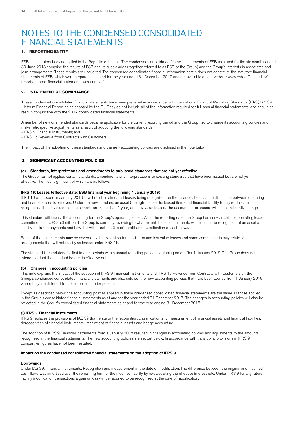### **1. REPORTING ENTITY**

ESB is a statutory body domiciled in the Republic of Ireland. The condensed consolidated financial statements of ESB as at and for the six months ended 30 June 2018 comprise the results of ESB and its subsidiaries (together referred to as ESB or the Group) and the Group's interests in associates and joint arrangements. These results are unaudited. The condensed consolidated financial information herein does not constitute the statutory financial statements of ESB, which were prepared as at and for the year ended 31 December 2017 and are available on our website www.esb.ie. The auditor's report on those financial statements was unmodified.

### **2. STATEMENT OF COMPLIANCE**

These condensed consolidated financial statements have been prepared in accordance with International Financial Reporting Standards (IFRS) IAS 34 - Interim Financial Reporting as adopted by the EU. They do not include all of the information required for full annual financial statements, and should be read in conjunction with the 2017 consolidated financial statements.

A number of new or amended standards became applicable for the current reporting period and the Group had to change its accounting policies and make retrospective adjustments as a result of adopting the following standards:

- IFRS 9 Financial Instruments; and

- IFRS 15 Revenue from Contracts with Customers.

The impact of the adoption of these standards and the new accounting policies are disclosed in the note below.

### **3. SIGNIFICANT ACCOUNTING POLICIES**

### **(a) Standards, interpretations and amendments to published standards that are not yet effective**

The Group has not applied certain standards, amendments and interpretations to existing standards that have been issued but are not yet effective. The most significant of which are as follows:

#### **IFRS 16: Leases (effective date: ESB financial year beginning 1 January 2019)**

IFRS 16 was issued in January 2016. It will result in almost all leases being recognised on the balance sheet, as the distinction between operating and finance leases is removed. Under the new standard, an asset (the right to use the leased item) and financial liability to pay rentals are recognised. The only exceptions are short-term (less than 1 year) and low-value leases. The accounting for lessors will not significantly change.

This standard will impact the accounting for the Group's operating leases. As at the reporting date, the Group has non-cancellable operating lease commitments of c.€235.0 million. The Group is currently reviewing to what extent these commitments will result in the recognition of an asset and liability for future payments and how this will affect the Group's profit and classification of cash flows.

Some of the commitments may be covered by the exception for short-term and low-value leases and some commitments may relate to arrangements that will not qualify as leases under IFRS 16.

The standard is mandatory for first interim periods within annual reporting periods beginning on or after 1 January 2019. The Group does not intend to adopt the standard before its effective date.

### **(b) Changes in accounting policies**

This note explains the impact of the adoption of IFRS 9 Financial Instruments and IFRS 15 Revenue from Contracts with Customers on the Group's condensed consolidated financial statements and also sets out the new accounting policies that have been applied from 1 January 2018, where they are different to those applied in prior periods.

Except as described below, the accounting policies applied in these condensed consolidated financial statements are the same as those applied in the Group's consolidated financial statements as at and for the year ended 31 December 2017. The changes in accounting policies will also be reflected in the Group's consolidated financial statements as at and for the year ending 31 December 2018.

### **(i) IFRS 9 Financial Instruments**

IFRS 9 replaces the provisions of IAS 39 that relate to the recognition, classification and measurement of financial assets and financial liabilities, derecognition of financial instruments, impairment of financial assets and hedge accounting.

The adoption of IFRS 9 Financial Instruments from 1 January 2018 resulted in changes in accounting policies and adjustments to the amounts recognised in the financial statements. The new accounting policies are set out below. In accordance with transitional provisions in IFRS 9 compartive figures have not been restated.

#### **Impact on the condensed consolidated financial statements on the adoption of IFRS 9**

### **Borrowings**

Under IAS 39, Financial instruments: Recognition and measurement at the date of modification. The difference between the original and modified cash flows was amortised over the remaining term of the modified liability by re-calculating the effective interest rate. Under IFRS 9 for any future liability modification transactions a gain or loss will be required to be recognised at the date of modification.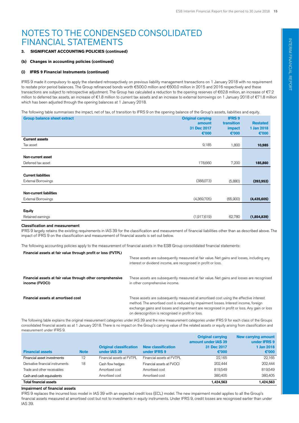### **3. Significant Accounting Policies (continued)**

### **(b) Changes in accounting policies (continued)**

### **(i) IFRS 9 Financial Instruments (continued)**

IFRS 9 made it compulsory to apply the standard retrosepctively on previous liability management transactions on 1 January 2018 with no requirement to restate prior period balances. The Group refinanced bonds worth €500.0 million and €600.0 million in 2015 and 2016 respectively and these transactions are subject to retrospective adjustment. The Group has calculated a reduction to the opening reserves of €62.8 million, an increase of €7.2 million to deferred tax assets, an increase of €1.8 million to current tax assets and an increase to external borrowings on 1 January 2018 of €71.8 million which has been adjusted through the opening balances at 1 January 2018.

The following table summarises the impact, net of tax, of transition to IFRS 9 on the opening balance of the Group's assets, liabilities and equity.

| <b>Group balance sheet extract</b> | <b>Original carrying</b> | <b>IFRS 9</b> |                 |
|------------------------------------|--------------------------|---------------|-----------------|
|                                    | amount                   | transition    | <b>Restated</b> |
|                                    | 31 Dec 2017              | <b>impact</b> | 1 Jan 2018      |
|                                    | €'000                    | € $'000$      | €'000           |
| <b>Current assets</b>              |                          |               |                 |
| Tax asset                          | 9,185                    | 1,800         | 10,985          |
|                                    |                          |               |                 |
| Non-current asset                  |                          |               |                 |
| Deferred tax asset                 | 178,660                  | 7,200         | 185,860         |
|                                    |                          |               |                 |
| <b>Current liabilities</b>         |                          |               |                 |
| <b>External Borrowings</b>         | (388,073)                | (5,880)       | (393, 953)      |
|                                    |                          |               |                 |
| Non-current liabilities            |                          |               |                 |
| <b>External Borrowings</b>         | (4,369,705)              | (65,900)      | (4,435,605)     |
|                                    |                          |               |                 |
| Equity                             |                          |               |                 |
| Retained earnings                  | (1,917,619)              | 62,780        | (1,854,839)     |

#### **Classification and measurement**

IFRS 9 largely retains the existing requirements in IAS 39 for the classification and measurement of financial liabilities other than as described above. The impact of IFRS 9 on the classification and measurement of financial assets is set out below.

The following accounting policies apply to the measurement of financial assets in the ESB Group consolidated financial statements:

| Financial assets at fair value through profit or loss (FVTPL)                | These assets are subsequently measured at fair value. Net gains and losses, including any<br>interest or dividend income, are recognised in profit or loss.                   |
|------------------------------------------------------------------------------|-------------------------------------------------------------------------------------------------------------------------------------------------------------------------------|
| Financial assets at fair value through other comprehensive<br>income (FVOCI) | These assets are subsequently measured at fair value. Net gains and losses are recognised<br>in other comprehensive income.                                                   |
| Financial assets at amortised cost                                           | These assets are subsequently measured at amortised cost using the effective interest<br>method. The amortised cost is reduced by impairment losses. Interest income, foreign |

The following table explains the original measurement categories under IAS 39 and the new measurement categories under IFRS 9 for each class of the Groups consolidated financial assets as at 1 January 2018. There is no impact on the Group's carrying value of the related assets or equity arising from classification and measurement under IFRS 9.

on derecognition is recognised in profit or loss.

exchange gains and losses and impairment are recognised in profit or loss. Any gain or loss

| <b>Financial assets</b>          | <b>Note</b> | <b>Original classification</b><br>under IAS 39 | <b>New classification</b><br>under IFRS 9 | <b>Original carrying</b><br>amount under IAS 39<br>31 Dec 2017<br>€ $'000$ | <b>New carrying amount</b><br>under <b>IFRS 9</b><br>1 Jan 2018<br>$\epsilon$ '000 |
|----------------------------------|-------------|------------------------------------------------|-------------------------------------------|----------------------------------------------------------------------------|------------------------------------------------------------------------------------|
| Financial asset investments      | 12          | Financial assets at FVTPL                      | Financial assets at FVTPL                 | 22.165                                                                     | 22,165                                                                             |
| Derivative financial instruments | 18          | Cash flow hedges                               | Financial assets at FVOCI                 | 202.444                                                                    | 202.444                                                                            |
| Trade and other receivables      |             | Amortised cost                                 | Amortised cost                            | 819.549                                                                    | 819.549                                                                            |
| Cash and cash equivalents        |             | Amortised cost                                 | Amortised cost                            | 380.405                                                                    | 380.405                                                                            |
| <b>Total financial assets</b>    |             |                                                |                                           | 1.424.563                                                                  | 1.424.563                                                                          |

### **Impairment of financial assets**

IFRS 9 replaces the incurred loss model in IAS 39 with an expected credit loss (ECL) model. The new impairment model applies to all the Group's financial assets measured at amortised cost but not to investments in equity instruments. Under IFRS 9, credit losses are recognised earlier than under IAS 39.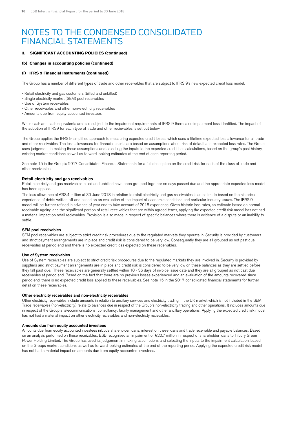### **3. Significant Accounting Policies (continued)**

### **(b) Changes in accounting policies (continued)**

#### **(i) IFRS 9 Financial Instruments (continued)**

The Group has a number of different types of trade and other receivables that are subject to IFRS 9's new expected credit loss model.

- Retail electricity and gas customers (billed and unbilled)

- Single electricity market (SEM) pool receivables
- Use of System receivables
- Other receivables and other non-electricity receivables
- Amounts due from equity accounted investees

While cash and cash equivalents are also subject to the impairment requirements of IFRS 9 there is no impairment loss identified. The impact of the adoption of IFRS9 for each type of trade and other recievables is set out below.

The Group applies the IFRS 9 simplified approach to measuring expected credit losses which uses a lifetime expected loss allowance for all trade and other receivables. The loss allowances for financial assets are based on assumptions about risk of default and expected loss rates. The Group uses judgement in making these assumptions and selecting the inputs to the expected credit loss calculations, based on the group's past history, existing market conditions as well as forward looking estimates at the end of each reporting period.

See note 15 in the Group's 2017 Consolidated Financial Statements for a full description on the credit risk for each of the class of trade and other receivables.

#### **Retail electricity and gas receivables**

Retail electricity and gas receivables billed and unbilled have been grouped together on days passed due and the appropriate expected loss model has been applied.

 The loss allowance of €33.4 million at 30 June 2018 in relation to retail electricity and gas receivables is an estimate based on the historical experience of debts written off and based on an evaluation of the impact of economic conditions and particular industry issues. The IFRS 9 model will be further refined in advance of year end to take account of 2018 experience. Given historic loss rates, an estimate based on normal receivable ageing and the significant portion of retail receivables that are within agreed terms, applying the expected credit risk model has not had a material impact on retail recievables. Provision is also made in respect of specific balances where there is evidence of a dispute or an inability to settle.

#### **SEM pool receivables**

SEM pool receivables are subject to strict credit risk procedures due to the regulated markets they operate in. Security is provided by customers and strict payment arrangements are in place and credit risk is considered to be very low. Consequently they are all grouped as not past due receivables at period end and there is no expected credit loss expected on these receivables.

#### **Use of System receivables**

Use of System receivables are subject to strict credit risk procedures due to the regulated markets they are involved in. Security is provided by suppliers and strict payment arrangements are in place and credit risk is considered to be very low on these balances as they are settled before they fall past due. These receivables are generally settled within 10 - 36 days of invoice issue date and they are all grouped as not past due receivables at period end. Based on the fact that there are no previous losses experienced and an evaluation of the amounts recovered since period end, there is no expected credit loss applied to these receivables. See note 15 in the 2017 consolidated financial statements for further detail on these receivables.

#### **Other electricity receivables and non-electricity receivables**

Other electricity receivables include amounts in relation to ancillary services and electricity trading in the UK market which is not included in the SEM. Trade receivables (non-electricity) relate to balances due in respect of the Group's non-electricity trading and other operations. It includes amounts due in respect of the Group's telecommunications, consultancy, facility management and other ancillary operations. Applying the expected credit risk model has not had a material impact on other electricity recievables and non-electricty recievables.

#### **Amounts due from equity accounted investees**

Amounts due from equity accounted investees inlcude shareholder loans, interest on these loans and trade receivable and payable balances. Based on an analysis performed on these receivables, ESB recognised an impairment of €20.7 million in respect of shareholder loans to Tilbury Green Power Holding Limited. The Group has used its judgement in making assumptions and selecting the inputs to the impairment calculation, based on the Groups market conditions as well as forward looking estimates at the end of the reporting period. Applying the expected credit risk model has not had a material impact on amounts due from equity accounted investees.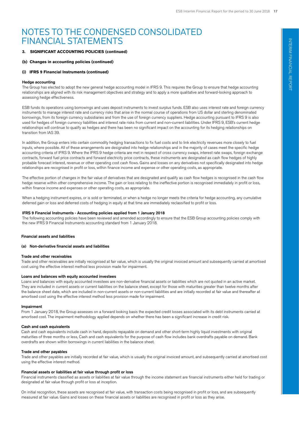### **3. Significant Accounting Policies (continued)**

### **(b) Changes in accounting policies (continued)**

### **(i) IFRS 9 Financial Instruments (continued)**

### **Hedge accounting**

The Group has elected to adopt the new general hedge accounting model in IFRS 9. This requires the Group to ensure that hedge accounting relationships are aligned with its risk management objectives and strategy and to apply a more qualitative and forward-looking approach to assessing hedge effectiveness.

ESB funds its operations using borrowings and uses deposit instruments to invest surplus funds. ESB also uses interest rate and foreign currency instruments to manage interest rate and currency risks that arise in the normal course of operations from US dollar and sterling denominated borrowings, from its foreign currency subsidiaries and from the use of foreign currency suppliers. Hedge accounting pursuant to IFRS 9 is also used for hedges of foreign currency liabilities and interest rate risks from current and non-current liabilities. Under IFRS 9, ESB's current hedge relationships will continue to qualify as hedges and there has been no significant impact on the accounting for its hedging relationships on transition from IAS 39.

In addition, the Group enters into certain commodity hedging transactions to fix fuel costs and to link electricity revenues more closely to fuel inputs, where possible. All of these arrangements are designated into hedge relationships and in the majority of cases meet the specific hedge accounting criteria of IFRS 9. Where the IFRS 9 hedge criteria are met in respect of cross currency swaps, interest rate swaps, foreign exchange contracts, forward fuel price contracts and forward electricity price contracts, these instruments are designated as cash flow hedges of highly probable forecast interest, revenue or other operating cost cash flows. Gains and losses on any derivatives not specifically designated into hedge relationships are recognised in profit or loss, within finance income and expense or other operating costs, as appropriate.

The effective portion of changes in the fair value of derivatives that are designated and qualify as cash flow hedges is recognised in the cash flow hedge reserve within other comprehensive income. The gain or loss relating to the ineffective portion is recognised immediately in profit or loss, within finance income and expenses or other operating costs, as appropriate.

When a hedging instrument expires, or is sold or terminated, or when a hedge no longer meets the criteria for hedge accounting, any cumulative deferred gain or loss and deferred costs of hedging in equity at that time are immediately reclassified to profit or loss.

### **IFRS 9 Financial Instruments - Accounting policies applied from 1 January 2018**

The following accounting policies have been reviewed and amended accordingly to ensure that the ESB Group accounting policies comply with the new IFRS 9 Financial Instruments accounting standard from 1 January 2018.

### **Financial assets and liabilities**

#### **(a) Non-derivative financial assets and liabilities**

#### **Trade and other receivables**

Trade and other receivables are initially recognised at fair value, which is usually the original invoiced amount and subsequently carried at amortised cost using the effective interest method less provision made for impairment.

### **Loans and balances with equity accounted investees**

Loans and balances with equity accounted investees are non-derivative financial assets or liabilities which are not quoted in an active market. They are included in current assets or current liabilities on the balance sheet, except for those with maturities greater than twelve months after the balance sheet date, which are included in non-current assets or non-current liabilities and are initially recorded at fair value and thereafter at amortised cost using the effective interest method less provision made for impairment.

#### **Impairment**

From 1 January 2018, the Group assesses on a forward looking basis the expected credit losses associated with its debt instruments carried at amortised cost. The impairment methodology applied depends on whether there has been a significant increase in credit risk.

#### **Cash and cash equivalents**

Cash and cash equivalents include cash in hand, deposits repayable on demand and other short-term highly liquid investments with original maturities of three months or less, cash and cash equivalents for the purpose of cash flow includes bank overdrafts payable on demand. Bank overdrafts are shown within borrowings in current liabilities in the balance sheet.

### **Trade and other payables**

Trade and other payables are initially recorded at fair value, which is usually the original invoiced amount, and subsequently carried at amortised cost using the effective interest method.

#### **Financial assets or liabilities at fair value through profit or loss**

Financial instruments classified as assets or liabilities at fair value through the income statement are financial instruments either held for trading or designated at fair value through profit or loss at inception.

On initial recognition, these assets are recognised at fair value, with transaction costs being recognised in profit or loss, and are subsequently measured at fair value. Gains and losses on these financial assets or liabilities are recognised in profit or loss as they arise.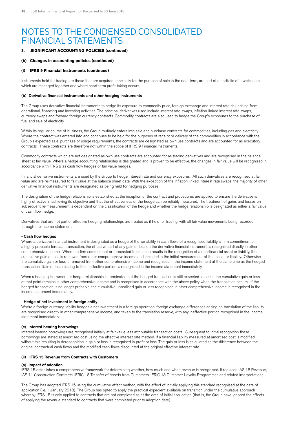### **3. Significant Accounting Policies (continued)**

#### **(b) Changes in accounting policies (continued)**

### **(i) IFRS 9 Financial Instruments (continued)**

Instruments held for trading are those that are acquired principally for the purpose of sale in the near term, are part of a portfolio of investments which are managed together and where short term profit taking occurs.

### **(b) Derivative financial instruments and other hedging instruments**

The Group uses derivative financial instruments to hedge its exposure to commodity price, foreign exchange and interest rate risk arising from operational, financing and investing activities. The principal derivatives used include interest rate swaps, inflation-linked interest rate swaps, currency swaps and forward foreign currency contracts. commodity contracts are also used to hedge the Group's exposures to the purchase of fuel and sale of electricity.

Within its regular course of business, the Group routinely enters into sale and purchase contracts for commodities, including gas and electricity. Where the contract was entered into and continues to be held for the purposes of receipt or delivery of the commodities in accordance with the Group's expected sale, purchase or usage requirements, the contracts are designated as own use contracts and are accounted for as executory contracts. These contracts are therefore not within the scope of IFRS 9 Financial Instruments.

Commodity contracts which are not designated as own use contracts are accounted for as trading derivatives and are recognised in the balance sheet at fair value. Where a hedge accounting relationship is designated and is proven to be effective, the changes in fair value will be recognised in accordance with IFRS 9 as cash flow hedges or fair value hedges.

Financial derivative instruments are used by the Group to hedge interest rate and currency exposures. All such derivatives are recognised at fair value and are re-measured to fair value at the balance sheet date. with the exception of the inflation linked interest rate swaps, the majority of other derivative financial instruments are designated as being held for hedging purposes.

The designation of the hedge relationship is established at the inception of the contract and procedures are applied to ensure the derivative is highly effective in achieving its objective and that the effectiveness of the hedge can be reliably measured. The treatment of gains and losses on subsequent re-measurement is dependent on the classification of the hedge and whether the hedge relationship is designated as either a fair value or cash flow hedge.

Derivatives that are not part of effective hedging relationships are treated as if held for trading, with all fair value movements being recorded through the income statement.

#### **- Cash flow hedges**

Where a derivative financial instrument is designated as a hedge of the variability in cash flows of a recognised liability, a firm commitment or a highly probable forecast transaction, the effective part of any gain or loss on the derivative financial instrument is recognised directly in other comprehensive income. When the firm commitment or forecasted transaction results in the recognition of a non-financial asset or liability, the cumulative gain or loss is removed from other comprehensive income and included in the initial measurement of that asset or liability. Otherwise the cumulative gain or loss is removed from other comprehensive income and recognised in the income statement at the same time as the hedged transaction. Gain or loss relating to the ineffective portion is recognised in the income statement immediately.

When a hedging instrument or hedge relationship is terminated but the hedged transaction is still expected to occur, the cumulative gain or loss at that point remains in other comprehensive income and is recognised in accordance with the above policy when the transaction occurs. If the hedged transaction is no longer probable, the cumulative unrealised gain or loss recognised in other comprehensive income is recognised in the income statement immediately.

#### **- Hedge of net investment in foreign entity**

Where a foreign currency liability hedges a net investment in a foreign operation, foreign exchange differences arising on translation of the liability are recognised directly in other comprehensive income, and taken to the translation reserve, with any ineffective portion recognised in the income statement immediately.

### **(c) Interest bearing borrowings**

Interest bearing borrowings are recognised initially at fair value less attributable transaction costs. Subsequent to initial recognition these borrowings are stated at amortised cost using the effective interest rate method. If a financial liability measured at amortised cost is modified without this resulting in derecognition, a gain or loss is recognised in profit or loss. The gain or loss is calculated as the difference between the original contractual cash flows and the modified cash flows discounted at the original effective interest rate.

### **(ii) IFRS 15 Revenue from Contracts with Customers**

### **(a) Impact of adoption**

IFRS 15 establishes a comprehensive framework for determining whether, how much and when revenue is recognised. It replaced IAS 18 Revenue, IAS 11 Construction Contracts, IFRIC 18 Transfer of Assets from Customers, IFRIC 13 Customer Loyalty Programmes and related interpretations.

The Group has adopted IFRS 15 using the cumulative effect method, with the effect of initially applying this standard recognised at the date of application (i.e. 1 January 2018). The Group has opted to apply the practical expedient available on transition under the cumulative approach whereby IFRS 15 is only applied to contracts that are not completed as at the date of initial application (that is, the Group have ignored the effects of applying the revenue standard to contracts that were completed prior to adoption date).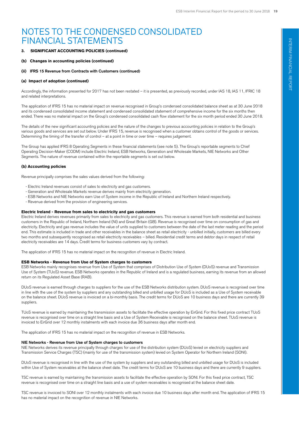### **3. Significant Accounting Policies (continued)**

### **(b) Changes in accounting policies (continued)**

### **(ii) IFRS 15 Revenue from Contracts with Customers (continued)**

### **(a) Impact of adoption (continued)**

Accordingly, the information presented for 2017 has not been restated – it is presented, as previously recorded, under IAS 18, IAS 11, IFRIC 18 and related interpretations.

The application of IFRS 15 has no material impact on revenue recognised in Group's condensed consolidated balance sheet as at 30 June 2018 and its condensed consolidated income statement and condensed consolidated statement of comprehensive income for the six months then ended. There was no material impact on the Group's condensed consolidated cash flow statement for the six month period ended 30 June 2018.

The details of the new significant accounting policies and the nature of the changes to previous accounting policies in relation to the Group's various goods and services are set out below. Under IFRS 15, revenue is recognised when a customer obtains control of the goods or services. Determining the timing of the transfer of control – at a point in time or over time – requires judgement.

The Group has applied IFRS 8 Operating Segments in these financial statements (see note 5). The Group's reportable segments to Chief Operating Decision-Maker (CODM) include Electric Ireland, ESB Networks, Generation and Wholesale Markets, NIE Networks and Other Segments. The nature of revenue contained within the reportable segments is set out below.

### **(b) Accounting policies**

Revenue principally comprises the sales values derived from the following:

- Electric Ireland revenues consist of sales to electricity and gas customers.
- Generation and Wholesale Markets revenue derives mainly from electricity generation.
- ESB Networks and NIE Networks earn Use of System income in the Republic of Ireland and Northern Ireland respectively.
- Revenue derived from the provision of engineering services.

### **Electric Ireland - Revenue from sales to electricity and gas customers**

Electric Ireland derives revenues primarily from sales to electricity and gas customers. This revenue is earned from both residential and business customers in the Republic of Ireland, Northern Ireland (NI) and Great Britain (GB). Revenue is recognised over time on consumption of gas and electricity. Electricity and gas revenue includes the value of units supplied to customers between the date of the last meter reading and the period end. This estimate is included in trade and other receivables in the balance sheet as retail electricity - unbilled initially, customers are billed every two months and subsequently recognised as retail electricity receivables – billed. Residential credit terms and debtor days in respect of retail electricity receivables are 14 days. Credit terms for business customers vary by contract.

The application of IFRS 15 has no material impact on the recognition of revenue in Electric Ireland.

### **ESB Networks - Revenue from Use of System charges to customers**

ESB Networks mainly recognises revenue from Use of System that comprises of Distribution Use of System (DUoS) revenue and Transmission Use of System (TUoS) revenue. ESB Networks operates in the Republic of Ireland and is a regulated business, earning its revenue from an allowed return on its Regulated Asset Base (RAB).

DUoS revenue is earned through charges to suppliers for the use of the ESB Networks distribution system. DUoS revenue is recognised over time in line with the use of the system by suppliers and any outstanding billed and unbilled usage for DUoS is included as a Use of System receivable on the balance sheet. DUoS revenue is invoiced on a bi-monthly basis. The credit terms for DUoS are 10 business days and there are currently 39 suppliers.

TUoS revenue is earned by maintaining the transmission assets to facilitate the effective operation by EirGrid. For this fixed price contract TUoS revenue is recognised over time on a straight line basis and a Use of System Receivable is recognised on the balance sheet. TUoS revenue is invoiced to EirGrid over 12 monthly instalments with each invoice due 36 business days after month end.

The application of IFRS 15 has no material impact on the recognition of revenue in ESB Networks.

### **NIE Networks - Revenue from Use of System charges to customers**

NIE Networks derives its revenue principally through charges for use of the distribution system (DUoS) levied on electricity suppliers and Transmission Service Charges (TSC) (mainly for use of the transmission system) levied on System Operator for Northern Ireland (SONI).

DUoS revenue is recognised in line with the use of the system by suppliers and any outstanding billed and unbilled usage for DUoS is included within Use of System receivables at the balance sheet date. The credit terms for DUoS are 10 business days and there are currently 9 suppliers.

TSC revenue is earned by maintaining the transmission assets to facilitate the effective operation by SONI. For this fixed price contract, TSC revenue is recognised over time on a straight line basis and a use of system receivables is recognised at the balance sheet date.

TSC revenue is invoiced to SONI over 12 monthly instalments with each invoice due 10 business days after month end. The application of IFRS 15 has no material impact on the recognition of revenue in NIE Networks.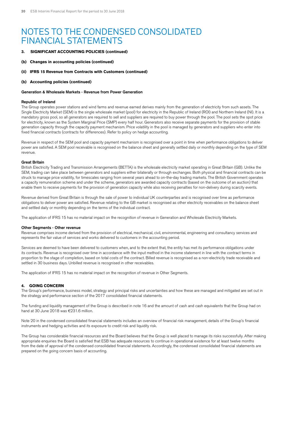### **3. Significant Accounting Policies (continued)**

- **(b) Changes in accounting policies (continued)**
- **(ii) IFRS 15 Revenue from Contracts with Customers (continued)**
- **(b) Accounting policies (continued)**

### **Generation & Wholesale Markets - Revenue from Power Generation**

#### **Republic of Ireland**

The Group operates power stations and wind farms and revenue earned derives mainly from the generation of electricity from such assets. The Single Electricity Market (SEM) is the single wholesale market (pool) for electricity in the Republic of Ireland (ROI) and Northern Ireland (NI). It is a mandatory gross pool, so all generators are required to sell and suppliers are required to buy power through the pool. The pool sets the spot price for electricity, known as the System Marginal Price (SMP) every half hour. Generators also receive separate payments for the provision of stable generation capacity through the capacity payment mechanism. Price volatility in the pool is managed by generators and suppliers who enter into fixed financial contracts (contracts for differences). Refer to policy on hedge accounting.

Revenue in respect of the SEM pool and capacity payment mechanism is recognised over a point in time when performance obligations to deliver power are satisfied. A SEM pool receivable is recognised on the balance sheet and generally settled daily or monthly depending on the type of SEM revenue.

### **Great Britain**

British Electricity Trading and Transmission Arrangements (BETTA) is the wholesale electricity market operating in Great Britain (GB). Unlike the SEM, trading can take place between generators and suppliers either bilaterally or through exchanges. Both physical and financial contracts can be struck to manage price volatility, for timescales ranging from several years ahead to on-the-day trading markets. The British Government operates a capacity remuneration scheme and under the scheme, generators are awarded capacity contracts (based on the outcome of an auction) that enable them to receive payments for the provision of generation capacity while also receiving penalties for non-delivery during scarcity events.

Revenue derived from Great Britain is through the sale of power to individual UK counterparties and is recognised over time as performance obligations to deliver power are satisfied. Revenue relating to the GB market is recognised as other electricity receivables on the balance sheet and settled daily or monthly depending on the terms of the individual contract.

The application of IFRS 15 has no material impact on the recognition of revenue in Generation and Wholesale Electricity Markets.

#### **Other Segments - Other revenue**

Revenue comprises income derived from the provision of electrical, mechanical, civil, environmental, engineering and consultancy services and represents the fair value of services and works delivered to customers in the accounting period.

Services are deemed to have been delivered to customers when, and to the extent that, the entity has met its performance obligations under its contracts. Revenue is recognised over time in accordance with the input method in the income statement in line with the contract terms in proportion to the stage of completion, based on total costs of the contract. Billed revenue is recognised as a non-electricity trade receivable and settled in 30 business days. Unbilled revenue is recognised in other receivables.

The application of IFRS 15 has no material impact on the recognition of revenue in Other Segments.

### **4. Going Concern**

The Group's performance, business model, strategy and principal risks and uncertainties and how these are managed and mitigated are set out in the strategy and performance section of the 2017 consolidated financial statements.

The funding and liquidity management of the Group is described in note 16 and the amount of cash and cash equivalents that the Group had on hand at 30 June 2018 was €231.6 million.

Note 20 in the condensed consolidated financial statements includes an overview of financial risk management, details of the Group's financial instruments and hedging activities and its exposure to credit risk and liquidity risk.

The Group has considerable financial resources and the Board believes that the Group is well placed to manage its risks successfully. After making appropriate enquiries the Board is satisfied that ESB has adequate resources to continue in operational existence for at least twelve months from the date of approval of the condensed consolidated financial statements. Accordingly, the condensed consolidated financial statements are prepared on the going concern basis of accounting.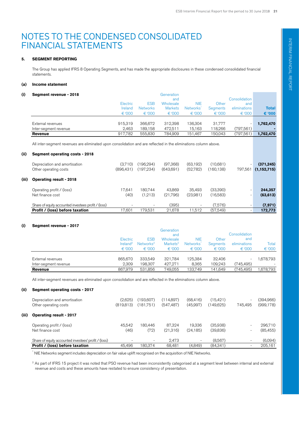### **5. SEGMENT REPORTING**

The Group has applied IFRS 8 Operating Segments, and has made the appropriate disclosures in these condensed consolidated financial statements.

### **(a) Income statement**

| Segment revenue - 2018 |          |                 | Generation      |                       |                 |                          |              |
|------------------------|----------|-----------------|-----------------|-----------------------|-----------------|--------------------------|--------------|
|                        |          |                 | and             |                       |                 | Consolidation            |              |
|                        | Electric | <b>ESB</b>      | Wholesale       | <b>NIE</b>            | Other           | and                      |              |
|                        | Ireland  | <b>Networks</b> | <b>Markets</b>  | Networks <sup>1</sup> | Segments        | eliminations             | <b>Total</b> |
|                        | € '000   | $000 \neq$      | $\epsilon$ '000 | $\epsilon$ '000       | $\epsilon$ '000 | $000 \rightarrow$        | € '000       |
| External revenues      | 915,319  | 366,672         | 312,398         | 136.304               | 31.777          | $\overline{\phantom{0}}$ | 1,762,470    |
| Inter-segment revenue  | 2.463    | 189,158         | 472.511         | 15,163                | 118.266         | (797.561)                |              |
| Revenue                | 917.782  | 555,830         | 784.909         | 151,467               | 150.043         | (797,561)                | 1,762,470    |
|                        |          |                 |                 |                       |                 |                          |              |

All inter-segment revenues are eliminated upon consolidation and are reflected in the eliminations column above.

| (ii)  | Segment operating costs - 2018                      |           |           |           |                          |            |                          |               |
|-------|-----------------------------------------------------|-----------|-----------|-----------|--------------------------|------------|--------------------------|---------------|
|       | Depreciation and amortisation                       | (3.710)   | 196.294)  | (97.368)  | (63, 192)                | (10,681)   |                          | (371, 245)    |
|       | Other operating costs                               | (896,431) | (197,234) | (643,691) | (52,782)                 | (160, 138) | 797,561                  | (1, 152, 715) |
| (iii) | <b>Operating result - 2018</b>                      |           |           |           |                          |            |                          |               |
|       | Operating profit / (loss)                           | 17.641    | 180.744   | 43.869    | 35.493                   | (33,390)   | $\overline{\phantom{0}}$ | 244.357       |
|       | Net finance cost                                    | (40)      | (1,213)   | (21.796)  | (23.981)                 | (16,583)   | $\overline{\phantom{0}}$ | (63, 613)     |
|       | Share of equity accounted investees profit / (loss) |           |           | (395)     | $\overline{\phantom{a}}$ | (7,576)    |                          | (7, 971)      |
|       | Profit / (loss) before taxation                     | 17.601    | 179.531   | 21.678    | 11.512                   | (57,549)   | $\overline{\phantom{0}}$ | 172.773       |

### **(i) Segment revenue - 2017**

| Revenue               | 867.979                 | 531,856               | 749,055              | 133.749         | 141,649         | (745, 495)                   | 1,678,793       |
|-----------------------|-------------------------|-----------------------|----------------------|-----------------|-----------------|------------------------------|-----------------|
| Inter-segment revenue | 2,309                   | 198,307               | 427.271              | 8.365           | 109,243         | (745.495)                    | -               |
| External revenues     | 865,670                 | 333.549               | 321.784              | 125.384         | 32.406          | $\qquad \qquad \blacksquare$ | 1.678.793       |
|                       | $000 \text{ } \infty$   | $\epsilon$ '000       | $\epsilon$ '000      | $\epsilon$ '000 | $\epsilon$ '000 | $\epsilon$ '000              | $\epsilon$ '000 |
|                       | $I$ reland <sup>2</sup> | Networks <sup>2</sup> | Markets <sup>2</sup> | Networks'       | <b>Segments</b> | eliminations                 | Total           |
|                       | Electric                | <b>ESB</b>            | Wholesale            | <b>NIE</b>      | Other           | and                          |                 |
|                       |                         |                       | Generation<br>and    |                 |                 | Consolidation                |                 |

All inter-segment revenues are eliminated upon consolidation and are reflected in the eliminations column above.

### **(ii) Segment operating costs - 2017**

|       | Depreciation and amortisation<br>Other operating costs | (2.625)<br>(819, 813) | (193.607)<br>(181,751) | (114,897)<br>(547, 487) | (68.416)<br>(45.997)     | (15, 421)<br>(149.625) | $\overline{\phantom{0}}$<br>745.495 | (394,966)<br>(999, 178) |
|-------|--------------------------------------------------------|-----------------------|------------------------|-------------------------|--------------------------|------------------------|-------------------------------------|-------------------------|
| (iii) | <b>Operating result - 2017</b>                         |                       |                        |                         |                          |                        |                                     |                         |
|       | Operating profit / (loss)                              | 45.542                | 180.446                | 87.324                  | 19.336                   | (35,938)               | $\overline{\phantom{0}}$            | 296.710                 |
|       | Net finance cost                                       | (46)                  | (72)                   | (21,316)                | (24.185)                 | (39,836)               | $\overline{\phantom{0}}$            | (85, 455)               |
|       | Share of equity accounted investees' profit / (loss)   |                       | ۰                      | 2.473                   | $\overline{\phantom{a}}$ | (8,567)                | $\overline{\phantom{0}}$            | (6,094)                 |
|       | Profit / (loss) before taxation                        | 45.496                | 180.374                | 68,481                  | (4,849)                  | (84, 341)              |                                     | 205,161                 |

 $^1$  NIE Networks segment includes depreciation on fair value uplift recognised on the acquisition of NIE Networks.

<sup>2</sup> As part of IFRS 15 project it was noted that PSO revenue had been inconsistently categorised at a segment level between internal and external revenue and costs and these amounts have restated to ensure consistency of presentation.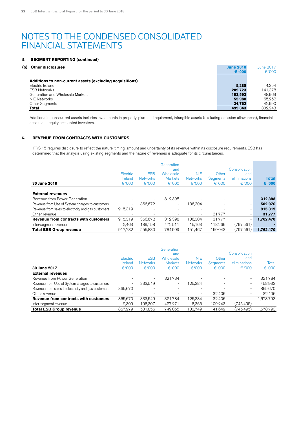### **5. SEGMENT REPORTING (continued)**

| (b) Other disclosures                                    | <b>June 2018</b><br>$600 \div 3$ | June 2017<br>€ '000 |
|----------------------------------------------------------|----------------------------------|---------------------|
| Additions to non-current assets (excluding acquisitions) |                                  |                     |
| Electric Ireland                                         | 5.285                            | 4,354               |
| <b>ESB Networks</b>                                      | 209,723                          | 141,378             |
| Generation and Wholesale Markets                         | 193.593                          | 48.969              |
| <b>NIE Networks</b>                                      | 55,980                           | 65.252              |
| <b>Other Segments</b>                                    | 34.762                           | 42,990              |
| Total                                                    | 499,343                          | 302,943             |

Additions to non-current assets includes investments in property, plant and equipment, intangible assets (excluding emission allowances), financial assets and equity accounted investees.

### **6. Revenue from Contracts with Customers**

IFRS 15 requires disclosure to reflect the nature, timing, amount and uncertainty of its revenue within its disclosure requirements. ESB has determined that the analysis using existing segments and the nature of revenues is adequate for its circumstances.

|                                                     |                          |                          | Generation      |                 |                 |                          |              |
|-----------------------------------------------------|--------------------------|--------------------------|-----------------|-----------------|-----------------|--------------------------|--------------|
|                                                     |                          |                          | and             |                 |                 | Consolidation            |              |
|                                                     | Electric                 | <b>ESB</b>               | Wholesale       | <b>NIE</b>      | Other           | and                      |              |
|                                                     | Ireland                  | <b>Networks</b>          | <b>Markets</b>  | <b>Networks</b> | <b>Segments</b> | eliminations             | <b>Total</b> |
| 30 June 2018                                        | $\epsilon$ '000          | $\epsilon$ '000          | $\epsilon$ '000 | $\epsilon$ '000 | $\epsilon$ '000 | $\epsilon$ '000          | 6'000        |
|                                                     |                          |                          |                 |                 |                 |                          |              |
| <b>External revenues</b>                            |                          |                          |                 |                 |                 |                          |              |
| Revenue from Power Generation                       |                          | $\overline{\phantom{a}}$ | 312.398         |                 |                 | $\overline{\phantom{0}}$ | 312,398      |
| Revenue from Use of System charges to customers     | $\overline{\phantom{a}}$ | 366,672                  | -               | 136.304         |                 | -                        | 502,976      |
| Revenue from sales to electricity and gas customers | 915,319                  | $\overline{\phantom{0}}$ |                 |                 |                 | $\overline{\phantom{0}}$ | 915,319      |
| Other revenue                                       |                          |                          |                 |                 | 31.777          |                          | 31,777       |
| Revenue from contracts with customers               | 915.319                  | 366,672                  | 312.398         | 136.304         | 31.777          |                          | 1,762,470    |
| Inter-segment revenue                               | 2.463                    | 189.158                  | 472,511         | 15.163          | 118,266         | (797.561)                |              |
| <b>Total ESB Group revenue</b>                      | 917.782                  | 555,830                  | 784.909         | 151.467         | 150.043         | (797.561)                | 1,762,470    |

|                                                     |                          |                          | Generation               |                 |                 |                          |           |
|-----------------------------------------------------|--------------------------|--------------------------|--------------------------|-----------------|-----------------|--------------------------|-----------|
|                                                     |                          |                          | and                      |                 |                 | Consolidation            |           |
|                                                     | Electric                 | <b>ESB</b>               | Wholesale                | <b>NIE</b>      | Other           | and                      |           |
|                                                     | <b>Ireland</b>           | <b>Networks</b>          | <b>Markets</b>           | <b>Networks</b> | Segments        | eliminations             | Total     |
| 30 June 2017                                        | $000 \rightarrow$        | $\epsilon$ '000          | $\epsilon$ '000          | $\epsilon$ '000 | $\epsilon$ '000 | $\epsilon$ '000          | 6000      |
| <b>External revenues</b>                            |                          |                          |                          |                 |                 |                          |           |
| Revenue from Power Generation                       |                          | $\overline{\phantom{0}}$ | 321.784                  |                 |                 |                          | 321,784   |
| Revenue from Use of System charges to customers     | $\overline{\phantom{a}}$ | 333,549                  | $\overline{\phantom{0}}$ | 125,384         |                 | ٠                        | 458.933   |
| Revenue from sales to electricity and gas customers | 865,670                  | $\overline{\phantom{0}}$ |                          |                 |                 | -                        | 865,670   |
| Other revenue                                       |                          | $\overline{\phantom{0}}$ |                          |                 | 32,406          |                          | 32,406    |
| Revenue from contracts with customers               | 865,670                  | 333,549                  | 321.784                  | 125.384         | 32.406          | $\overline{\phantom{a}}$ | 1.678.793 |
| Inter-segment revenue                               | 2.309                    | 198,307                  | 427,271                  | 8,365           | 109,243         | (745, 495)               |           |
| <b>Total ESB Group revenue</b>                      | 867.979                  | 531.856                  | 749.055                  | 133.749         | 141.649         | (745.495)                | 1.678.793 |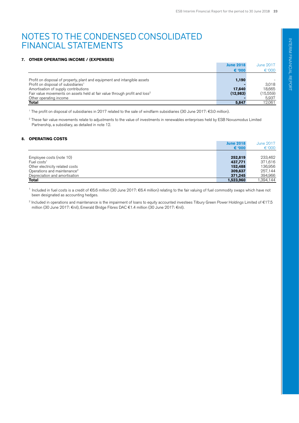### **7. OTHER OPERATING INCOME / (EXPENSES)**

|                                                                                        | <b>June 2018</b> | <b>June 2017</b> |
|----------------------------------------------------------------------------------------|------------------|------------------|
|                                                                                        | € '000           | € '000           |
|                                                                                        |                  |                  |
| Profit on disposal of property, plant and equipment and intangible assets              | 1,190            |                  |
| Profit on disposal of subsidiaries <sup>1</sup>                                        |                  | 3.018            |
| Amortisation of supply contributions                                                   | 17.640           | 18.665           |
| Fair value movements on assets held at fair value through profit and loss <sup>2</sup> | (12, 983)        | (15,559)         |
| Other operating income                                                                 |                  | 5,937            |
| Total                                                                                  | 5,847            | 12,061           |

1 The profit on disposal of subsidiaries in 2017 related to the sale of windfarm subsidiaries (30 June 2017: €3.0 million).

<sup>2</sup> These fair value movements relate to adjustments to the value of investments in renewables enterprises held by ESB Novusmodus Limited Partnership, a subsidiary, as detailed in note 12.

### **8. OPERATING COSTS**

|                                         | <b>June 2018</b> | June 2017       |
|-----------------------------------------|------------------|-----------------|
|                                         | $000^{\circ}$    | $\epsilon$ '000 |
|                                         |                  |                 |
| Employee costs (note 10)                | 252.819          | 233,462         |
| Fuel costs <sup>1</sup>                 | 437.771          | 371.616         |
| Other electricity related costs         | 152.488          | 136.956         |
| Operations and maintenance <sup>2</sup> | 309.637          | 257.144         |
| Depreciation and amortisation           | 371.245          | 394,966         |
| Total                                   | 1,523,960        | .394.144        |

1 Included in fuel costs is a credit of €6.6 million (30 June 2017: €6.4 million) relating to the fair valuing of fuel commodity swaps which have not been designated as accounting hedges.

<sup>2</sup> Included in operations and maintenance is the impairment of loans to equity accounted investees Tilbury Green Power Holdings Limited of €17.5 million (30 June 2017: €nil), Emerald Bridge Fibres DAC €1.4 million (30 June 2017: €nil).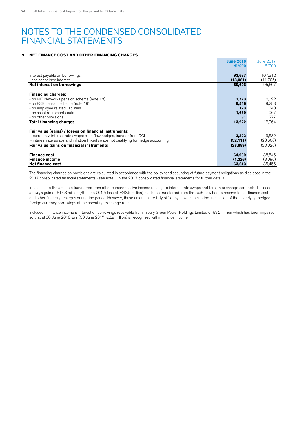### NOTES TO THE CONDENSED CONSOLIDATED FINANCIAL STATEMENTS

### **9. NET FINANCE COST AND OTHER FINANCING CHARGES**

|                                                                                      | <b>June 2018</b> | June 2017         |
|--------------------------------------------------------------------------------------|------------------|-------------------|
|                                                                                      | € '000           | $000 \rightarrow$ |
|                                                                                      |                  |                   |
| Interest payable on borrowings                                                       | 93,687           | 107,312           |
| Less capitalised interest                                                            | (13,081)         | (11,705)          |
| Net interest on borrowings                                                           | 80,606           | 95,607            |
| <b>Financing charges:</b>                                                            |                  |                   |
| - on NIE Networks pension scheme (note 18)                                           | 1,773            | 2,122             |
| - on ESB pension scheme (note 19)                                                    | 9,546            | 9,258             |
| - on employee related liabilities                                                    | 123              | 340               |
| - on asset retirement costs                                                          | 1,689            | 967               |
| - on other provisions                                                                | 91               | 277               |
| <b>Total financing charges</b>                                                       | 13,222           | 12,964            |
| Fair value (gains) / losses on financial instruments:                                |                  |                   |
| - currency / interest rate swaps: cash flow hedges, transfer from OCI                | 3,222            | 3,582             |
| - interest rate swaps and inflation linked swaps not qualifying for hedge accounting | (32, 111)        | (23,608)          |
| Fair value gains on financial instruments                                            | (28, 889)        | (20,026)          |
| <b>Finance cost</b>                                                                  | 64,939           | 88,545            |
| <b>Finance income</b>                                                                | (1,326)          | (3,090)           |
| <b>Net finance cost</b>                                                              | 63,613           | 85,455            |

The financing charges on provisions are calculated in accordance with the policy for discounting of future payment obligations as disclosed in the 2017 consolidated financial statements - see note 1 in the 2017 consolidated financial statements for further details.

In addition to the amounts transferred from other comprehensive income relating to interest rate swaps and foreign exchange contracts disclosed above, a gain of €14.3 million (30 June 2017: loss of €43.5 million) has been transferred from the cash flow hedge reserve to net finance cost and other financing charges during the period. However, these amounts are fully offset by movements in the translation of the underlying hedged foreign currency borrowings at the prevailing exchange rates.

Included in finance income is interest on borrowings receivable from Tilbury Green Power Holdings Limited of €3.2 million which has been impaired so that at 30 June 2018 €nil (30 June 2017: €2.9 million) is recognised within finance income.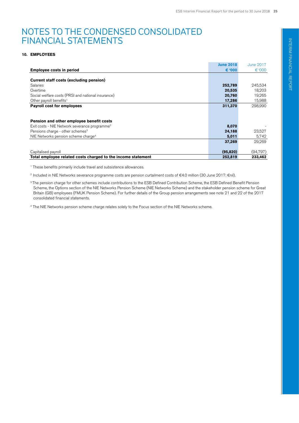### **10. EMPLOYEES**

|                                                              | <b>June 2018</b> | June 2017  |
|--------------------------------------------------------------|------------------|------------|
| <b>Employee costs in period</b>                              | $\epsilon$ '000  | $000 \neq$ |
|                                                              |                  |            |
| Current staff costs (excluding pension)                      |                  |            |
| Salaries                                                     | 252,789          | 245,534    |
| Overtime                                                     | 20,535           | 18,203     |
| Social welfare costs (PRSI and national insurance)           | 20,760           | 19,265     |
| Other payroll benefits <sup>1</sup>                          | 17,286           | 15,988     |
| <b>Payroll cost for employees</b>                            | 311,370          | 298,990    |
|                                                              |                  |            |
|                                                              |                  |            |
| Pension and other employee benefit costs                     |                  |            |
| Exit costs - NIE Network severance programme <sup>2</sup>    | 8,070            |            |
| Pensions charge - other schemes <sup>3</sup>                 | 24,188           | 23,527     |
| NIE Networks pension scheme charge <sup>4</sup>              | 5,011            | 5,742      |
|                                                              | 37,269           | 29,269     |
|                                                              |                  |            |
| Capitalised payroll                                          | (95, 820)        | (94,797)   |
| Total employee related costs charged to the income statement | 252.819          | 233,462    |

<sup>1</sup> These benefits primarily include travel and subsistence allowances.

2 Included in NIE Networks severance programme costs are pension curtailment costs of €4.0 million (30 June 2017: €nil).

<sup>3</sup> The pension charge for other schemes include contributions to the ESB Defined Contribution Scheme, the ESB Defined Benefit Pension Scheme, the Options section of the NIE Networks Pension Scheme (NIE Networks Scheme) and the stakeholder pension scheme for Great Britain (GB) employees (FMUK Pension Scheme). For further details of the Group pension arrangements see note 21 and 22 of the 2017 consolidated financial statements.

4 The NIE Networks pension scheme charge relates solely to the Focus section of the NIE Networks scheme.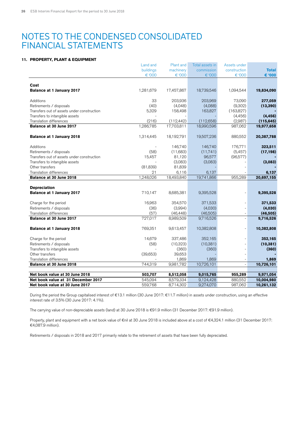### **11. PROPERTY, PLANT & EQUIPMENT**

|                                            | Land and  | Plant and  | Total assets in | Assets under             |              |
|--------------------------------------------|-----------|------------|-----------------|--------------------------|--------------|
|                                            | buildings | machinery  | commission      | construction             | <b>Total</b> |
|                                            | € '000    | € '000     | € '000          | € '000                   | € '000       |
|                                            |           |            |                 |                          |              |
| Cost                                       |           |            |                 |                          |              |
| <b>Balance at 1 January 2017</b>           | 1,281,679 | 17,457,867 | 18,739,546      | 1,094,544                | 19,834,090   |
|                                            |           |            |                 |                          |              |
| Additions                                  | 33        | 203,936    | 203,969         | 73,090                   | 277,059      |
| Retirements / disposals                    | (40)      | (4,048)    | (4,088)         | (9,302)                  | (13, 390)    |
| Transfers out of assets under construction | 5,329     | 158,498    | 163,827         | (163,827)                |              |
| Transfers to intangible assets             |           |            |                 | (4,456)                  | (4, 456)     |
| Translation differences                    | (216)     | (112, 442) | (112,658)       | (2,987)                  | (115, 645)   |
| Balance at 30 June 2017                    | 1,286,785 | 17,703,811 | 18,990,596      | 987,062                  | 19,977,658   |
| <b>Balance at 1 January 2018</b>           | 1,314,445 | 18,192,791 | 19,507,236      | 880,552                  | 20,387,788   |
| Additions                                  |           | 146,740    | 146,740         | 176,771                  | 323,511      |
| Retirements / disposals                    | (58)      | (11,683)   | (11,741)        | (5,457)                  |              |
|                                            |           |            |                 |                          | (17, 198)    |
| Transfers out of assets under construction | 15,457    | 81,120     | 96,577          | (96, 577)                |              |
| Transfers to intangible assets             |           | (3,083)    | (3,083)         |                          | (3,083)      |
| Other transfers                            | (81, 839) | 81,839     |                 |                          |              |
| Translation differences                    | 21        | 6,116      | 6,137           |                          | 6,137        |
| Balance at 30 June 2018                    | 1,248,026 | 18,493,840 | 19,741,866      | 955,289                  | 20,697,155   |
| <b>Depreciation</b>                        |           |            |                 |                          |              |
| <b>Balance at 1 January 2017</b>           | 710,147   | 8,685,381  | 9,395,528       |                          | 9,395,528    |
|                                            |           |            |                 |                          |              |
| Charge for the period                      | 16,963    | 354,570    | 371,533         |                          | 371,533      |
| Retirements / disposals                    | (36)      | (3,994)    | (4,030)         | $\overline{\phantom{a}}$ | (4,030)      |
| Translation differences                    | (57)      | (46, 448)  | (46,505)        | $\bar{a}$                | (46, 505)    |
| Balance at 30 June 2017                    | 727,017   | 8,989,509  | 9,716,526       | $\overline{a}$           | 9,716,526    |
|                                            |           |            |                 |                          |              |
| <b>Balance at 1 January 2018</b>           | 769,351   | 9,613,457  | 10,382,808      |                          | 10,382,808   |
| Charge for the period                      | 14,679    | 337,486    | 352,165         |                          | 352,165      |
| Retirements / disposals                    | (58)      | (10, 323)  | (10, 381)       |                          | (10, 381)    |
| Transfers to intangible assets             |           | (360)      | (360)           |                          | (360)        |
| Other transfers                            | (39,653)  | 39,653     |                 |                          |              |
| Translation differences                    |           | 1,869      | 1,869           | $\sim$                   | 1,869        |
| Balance at 30 June 2018                    | 744,319   | 9,981,782  | 10,726,101      | $\overline{\phantom{a}}$ | 10,726,101   |
|                                            |           |            |                 |                          |              |
| Net book value at 30 June 2018             | 503,707   | 8,512,058  | 9,015,765       | 955,289                  | 9,971,054    |
| Net book value at 31 December 2017         | 545,094   | 8,579,334  | 9,124,428       | 880,552                  | 10,004,980   |
| Net book value at 30 June 2017             | 559,768   | 8,714,302  | 9,274,070       | 987,062                  | 10,261,132   |

During the period the Group capitalised interest of €13.1 million (30 June 2017: €11.7 million) in assets under construction, using an effective interest rate of 3.5% (30 June 2017: 4.1%).

The carrying value of non-depreciable assets (land) at 30 June 2018 is €91.9 million (31 December 2017: €91.9 million).

Property, plant and equipment with a net book value of €nil at 30 June 2018 is included above at a cost of €4,324.1 million (31 December 2017: €4,087.9 million).

Retirements / disposals in 2018 and 2017 primarily relate to the retirement of assets that have been fully depreciated.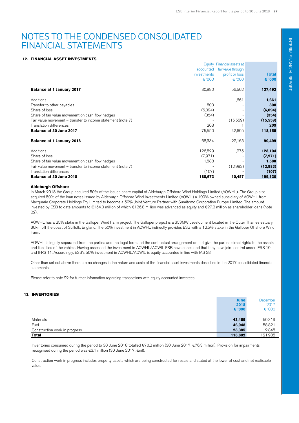### **12. FINANCIAL ASSET INVESTMENTS**

|                                                             | Equity      | Financial assets at |              |
|-------------------------------------------------------------|-------------|---------------------|--------------|
|                                                             | accounted   | fair value through  |              |
|                                                             | investments | profit or loss      | <b>Total</b> |
|                                                             | € '000      | $\epsilon$ '000     | € '000       |
| <b>Balance at 1 January 2017</b>                            | 80,990      | 56,502              | 137,492      |
| Additions                                                   |             | 1,661               | 1,661        |
| Transfer to other payables                                  | 800         |                     | 800          |
| Share of loss                                               | (6,094)     |                     | (6,094)      |
| Share of fair value movement on cash flow hedges            | (354)       |                     | (354)        |
| Fair value movement – transfer to income statement (note 7) |             | (15,559)            | (15, 559)    |
| Translation differences                                     | 208         |                     | 209          |
| Balance at 30 June 2017                                     | 75,550      | 42,605              | 118,155      |
| <b>Balance at 1 January 2018</b>                            | 68,334      | 22,165              | 90,499       |
| Additions                                                   | 126,829     | 1,275               | 128,104      |
| Share of loss                                               | (7, 971)    |                     | (7, 971)     |
| Share of fair value movement on cash flow hedges            | 1,588       |                     | 1,588        |
| Fair value movement – transfer to income statement (note 7) |             | (12,983)            | (12, 983)    |
| Translation differences                                     | (107)       |                     | (107)        |
| Balance at 30 June 2018                                     | 188,673     | 10,457              | 199,130      |

#### **Aldeburgh Offshore**

In March 2018 the Group acquired 50% of the issued share capital of Aldeburgh Offshore Wind Holdings Limited (AOWHL). The Group also acquired 50% of the loan notes issued by Aldeburgh Offshore Wind Investments Limited (AOWIL) a 100% owned subsidiary of AOWHL from Macquarie Corporate Holdings Pty Limited to become a 50% Joint Venture Partner with Sumitomo Corporation Europe Limited. The amount invested by ESB to date amounts to €154.0 million of which €126.8 million was advanced as equity and €27.2 million as shareholder loans (note 22).

AOWHL has a 25% stake in the Galloper Wind Farm project. The Galloper project is a 353MW development located in the Outer Thames estuary, 30km off the coast of Suffolk, England. The 50% investment in AOWHL indirectly provides ESB with a 12.5% stake in the Galloper Offshore Wind Farm.

AOWHL is legally separated from the parties and the legal form and the contractual arrangement do not give the parties direct rights to the assets and liabilities of the vehicle. Having assessed the investment in AOWHL/AOWIL ESB have concluded that they have joint control under IFRS 10 and IFRS 11. Accordingly, ESB's 50% investment in AOWHL/AOWIL is equity accounted in line with IAS 28.

Other than set out above there are no changes in the nature and scale of the financial asset investments described in the 2017 consolidated financial statements.

Please refer to note 22 for further information regarding transactions with equity accounted investees.

### **13. INVENTORIES**

|                               | <b>June</b><br>2018 | <b>December</b><br>2017 |
|-------------------------------|---------------------|-------------------------|
|                               | $000^{\circ}$       | € '000                  |
|                               |                     |                         |
| Materials                     | 43,469              | 50,319                  |
| Fuel                          | 46,948              | 58,821                  |
| Construction work in progress | 23,385              | 12,845                  |
| <b>Total</b>                  | 113,802             | 121,985                 |

Inventories consumed during the period to 30 June 2018 totalled €70.2 million (30 June 2017: €76.3 million). Provision for impairments recognised during the period was €3.1 million (30 June 2017: €nil).

Construction work in progress includes property assets which are being constructed for resale and stated at the lower of cost and net realisable value.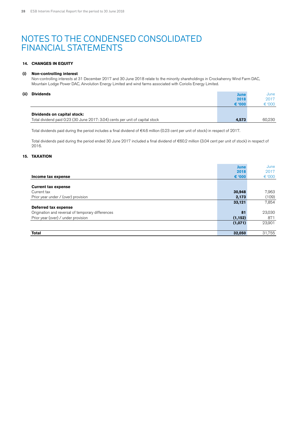### **14. CHANGES IN EQUITY**

### **(i) Non-controlling interest**

Non-controlling interests at 31 December 2017 and 30 June 2018 relate to the minority shareholdings in Crockahenny Wind Farm DAC, Mountain Lodge Power DAC, Airvolution Energy Limited and wind farms associated with Coriolis Energy Limited.

### **(ii) Dividends June**

| <b>Dividends</b>                                                              | <b>June</b>     | June       |
|-------------------------------------------------------------------------------|-----------------|------------|
|                                                                               | 2018            | 2017       |
|                                                                               | $\epsilon$ '000 | $000 \neq$ |
|                                                                               |                 |            |
| Dividends on capital stock:                                                   |                 |            |
| Total dividend paid 0.23 (30 June 2017: 3.04) cents per unit of capital stock | 4.573           | 60.230     |

Total dividends paid during the period includes a final dividend of €4.6 million (0.23 cent per unit of stock) in respect of 2017.

Total dividends paid during the period ended 30 June 2017 included a final dividend of €60.2 million (3.04 cent per unit of stock) in respect of 2016.

### **15. TAXATION**

|                                                   | <b>June</b>     | June            |
|---------------------------------------------------|-----------------|-----------------|
|                                                   | 2018            | 2017            |
| Income tax expense                                | $\epsilon$ '000 | $\epsilon$ '000 |
|                                                   |                 |                 |
| <b>Current tax expense</b>                        |                 |                 |
| Current tax                                       | 30,948          | 7,963           |
| Prior year under / (over) provision               | 2,173           | (109)           |
|                                                   | 33,121          | 7,854           |
| Deferred tax expense                              |                 |                 |
| Origination and reversal of temporary differences | 81              | 23,030          |
| Prior year (over) / under provision               | (1, 152)        | 871             |
|                                                   | (1,071)         | 23,901          |
|                                                   |                 |                 |
| <b>Total</b>                                      | 32,050          | 31,755          |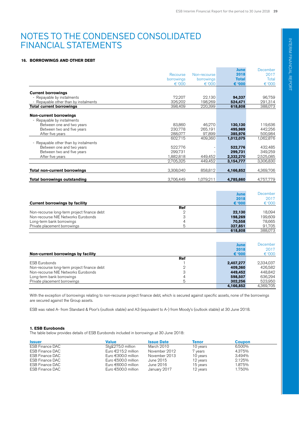### Notes to the Condensed Consolidated FINANCIAL STATEMENTS

### **16. BORROWINGS AND OTHER DEBT**

|                                             |                |              | <b>June</b>  | December  |
|---------------------------------------------|----------------|--------------|--------------|-----------|
|                                             | Recourse       | Non-recourse | 2018         | 2017      |
|                                             | borrowings     | borrowings   | <b>Total</b> | Total     |
|                                             | € '000         | € '000       | € '000       | € '000    |
|                                             |                |              |              |           |
| <b>Current borrowings</b>                   |                |              |              |           |
| - Repayable by instalments                  | 72,207         | 22,130       | 94,337       | 96,759    |
| - Repayable other than by instalments       | 326.202        | 198,269      | 524,471      | 291,314   |
| <b>Total current borrowings</b>             | 398,409        | 220,399      | 618,808      | 388,073   |
| <b>Non-current borrowings</b>               |                |              |              |           |
| - Repayable by instalments                  |                |              |              |           |
| Between one and two years                   | 83,860         | 46,270       | 130,130      | 119,636   |
|                                             | 230,778        | 265,191      | 495,969      | 442,256   |
| Between two and five years                  |                |              |              |           |
| After five years                            | 288,077        | 97,899       | 385,976      | 500,984   |
|                                             | 602,715        | 409,360      | 1,012,075    | 1,062,876 |
| - Repayable other than by instalments       |                |              |              |           |
| Between one and two years                   | 522,776        |              | 522,776      | 432,485   |
| Between two and five years                  | 299,731        |              | 299,731      | 349,259   |
| After five years                            | 1,882,818      | 449.452      | 2,332,270    | 2,525,085 |
|                                             | 2,705,325      | 449,452      | 3,154,777    | 3,306,830 |
|                                             |                |              |              |           |
| <b>Total non-current borrowings</b>         | 3,308,040      | 858,812      | 4,166,852    | 4,369,706 |
|                                             |                |              |              |           |
| <b>Total borrowings outstanding</b>         | 3,706,449      | 1,079,211    | 4,785,660    | 4,757,779 |
|                                             |                |              |              |           |
|                                             |                |              |              |           |
|                                             |                |              | <b>June</b>  | December  |
|                                             |                |              | 2018         | 2017      |
| <b>Current borrowings by facility</b>       |                |              | € '000       | € '000    |
|                                             | Ref            |              |              |           |
| Non-recourse long-term project finance debt | $\mathbf{2}$   |              | 22,130       | 18,094    |
| Non-recourse NIE Networks Eurobonds         | 3              |              | 198,269      | 199,609   |
| Long-term bank borrowings                   | $\overline{4}$ |              | 70,558       | 78,665    |
| Private placement borrowings                | 5              |              | 327,851      | 91.705    |
|                                             |                |              | 618,808      | 388,073   |
|                                             |                |              |              |           |
|                                             |                |              |              |           |
|                                             |                |              | <b>June</b>  | December  |
|                                             |                |              | 2018         | 2017      |
| Non-current borrowings by facility          |                |              | € '000       | € '000    |
|                                             | Ref            |              |              |           |
| <b>ESB Eurobonds</b>                        |                |              | 2,407,277    | 2,334,037 |
| Non-recourse long-term project finance debt | $\mathbf{2}$   |              | 409,360      | 426,582   |
| Non-recourse NIE Networks Eurobonds         | 3              |              | 449,452      | 448,842   |
| Long-term bank borrowings                   | $\overline{4}$ |              | 598,507      | 636,294   |
| Private placement borrowings                | 5              |              | 302,256      | 523,950   |
|                                             |                |              | 4,166,852    | 4,369,705 |
|                                             |                |              |              |           |

With the exception of borrowings relating to non-recourse project finance debt, which is secured against specific assets, none of the borrowings are secured against the Group assets.

ESB was rated A- from Standard & Poor's (outlook stable) and A3 (equivalent to A-) from Moody's (outlook stable) at 30 June 2018.

### **1. ESB Eurobonds**

The table below provides details of ESB Eurobonds included in borrowings at 30 June 2018:

| <b>Issuer</b>   | Value                         | <b>Issue Date</b> | <b>Tenor</b> | <b>Coupon</b> |
|-----------------|-------------------------------|-------------------|--------------|---------------|
| ESB Finance DAC | Stg \$275.0 million           | March 2010        | 10 years     | 6.500%        |
| ESB Finance DAC | Euro €215.2 million           | November 2012     | 7 years      | 4.375%        |
| ESB Finance DAC | Euro €300.0 million           | November 2013     | 10 years     | 3.494%        |
| ESB Finance DAC | Euro €500.0 million           | June 2015         | 12 years     | 2.125%        |
| ESB Finance DAC | Euro $\epsilon$ 600.0 million | June 2016         | 15 years     | 1.875%        |
| ESB Finance DAC | Euro €500.0 million           | January 2017      | 12 years     | 1.750%        |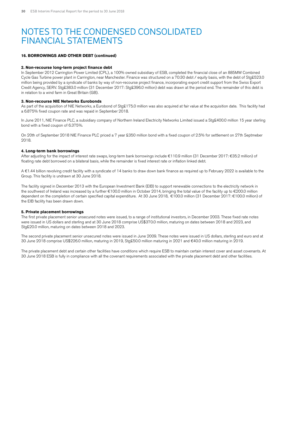### **16. BORROWINGS AND OTHER DEBT (continued)**

#### **2. Non-recourse long-term project finance debt**

In September 2012 Carrington Power Limited (CPL), a 100% owned subsidiary of ESB, completed the financial close of an 885MW Combined Cycle Gas Turbine power plant in Carrington, near Manchester. Finance was structured on a 70:30 debt / equity basis, with the debt of Stg£523.0 million being provided by a syndicate of banks by way of non-recourse project finance, incorporating export credit support from the Swiss Export Credit Agency, SERV. Stg£383.0 million (31 December 2017: Stg£396.0 million) debt was drawn at the period end. The remainder of this debt is in relation to a wind farm in Great Britain (GB).

### **3. Non-recourse NIE Networks Eurobonds**

As part of the acquisition of NIE Networks, a Eurobond of Stg£175.0 million was also acquired at fair value at the acquisition date. This facility had a 6.875% fixed coupon rate and was repaid in September 2018.

In June 2011, NIE Finance PLC, a subsidiary company of Northern Ireland Electricity Networks Limited issued a Stg\$400.0 million 15 year sterling bond with a fixed coupon of 6.375%.

On 20th of September 2018 NIE Finance PLC priced a 7 year £350 million bond with a fixed coupon of 2.5% for settlement on 27th Septmeber 2018.

### **4. Long-term bank borrowings**

After adjusting for the impact of interest rate swaps, long-term bank borrowings include €110.9 million (31 December 2017: €35.2 million) of floating rate debt borrowed on a bilateral basis, while the remainder is fixed interest rate or inflation linked debt.

A €1.44 billion revolving credit facility with a syndicate of 14 banks to draw down bank finance as required up to February 2022 is available to the Group. This facility is undrawn at 30 June 2018.

The facility signed in December 2013 with the European Investment Bank (EIB) to support renewable connections to the electricity network in the southwest of Ireland was increased by a further €100.0 million in October 2014, bringing the total value of the facility up to €200.0 million dependent on the completion of certain specified capital expenditure. At 30 June 2018, €100.0 million (31 December 2017: €100.0 million) of the EIB facility has been drawn down.

### **5. Private placement borrowings**

The first private placement senior unsecured notes were issued, to a range of institutional investors, in December 2003. These fixed rate notes were issued in US dollars and sterling and at 30 June 2018 comprise US\$370.0 million, maturing on dates between 2018 and 2023, and Stg£20.0 million, maturing on dates between 2018 and 2023.

The second private placement senior unsecured notes were issued in June 2009. These notes were issued in US dollars, sterling and euro and at 30 June 2018 comprise US\$226.0 million, maturing in 2019, Stg£50.0 million maturing in 2021 and €40.0 million maturing in 2019.

The private placement debt and certain other facilities have conditions which require ESB to maintain certain interest cover and asset covenants. At 30 June 2018 ESB is fully in compliance with all the covenant requirements associated with the private placement debt and other facilities.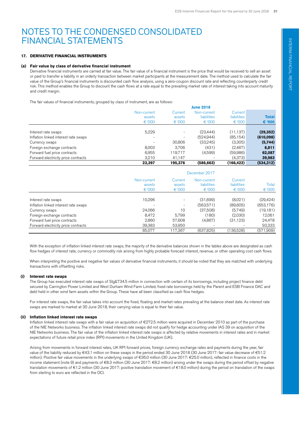### **17. DERIVATIVE FINANCIAL INSTRUMENTS**

#### **(a) Fair value by class of derivative financial instrument**

Derivative financial instruments are carried at fair value. The fair value of a financial instrument is the price that would be received to sell an asset or paid to transfer a liability in an orderly transaction between market participants at the measurement date. The method used to calculate the fair value of the Group's financial instruments is discounted cash flow analysis, using a zero-coupon discount rate and reflecting counterparty credit risk. This method enables the Group to discount the cash flows at a rate equal to the prevailing market rate of interest taking into account maturity and credit margin.

The fair values of financial instruments, grouped by class of instrument, are as follows:

|                                      | <b>June 2018</b>                         |                                        |                                                      |                                              |                        |
|--------------------------------------|------------------------------------------|----------------------------------------|------------------------------------------------------|----------------------------------------------|------------------------|
|                                      | Non-current<br>assets<br>$\epsilon$ '000 | Current<br>assets<br>$000 \rightarrow$ | Non-current<br><b>liabilities</b><br>$\epsilon$ '000 | <b>Current</b><br>liabilities<br>$6000 \div$ | <b>Total</b><br>€ '000 |
| Interest rate swaps                  | 5,229                                    | $\overline{a}$                         | (23.444)                                             | (11, 137)                                    | (29, 352)              |
| Inflation linked interest rate swaps |                                          |                                        | (524.944)                                            | (85, 154)                                    | (610, 098)             |
| Currency swaps                       | $\overline{\phantom{0}}$                 | 30,806                                 | (33, 245)                                            | (3,305)                                      | (5,744)                |
| Foreign exchange contracts           | 8,003                                    | 3.706                                  | (431)                                                | (2,467)                                      | 8,811                  |
| Forward fuel price contracts         | 6,955                                    | 119.717                                | (4,599)                                              | (59,986)                                     | 62,087                 |
| Forward electricity price contracts  | 3,210                                    | 41.147                                 | $\overline{\phantom{a}}$                             | (4,373)                                      | 39,983                 |
|                                      | 23,397                                   | 195.376                                | (586,663)                                            | (166, 422)                                   | (534, 312)             |

|                                      | December 2017                            |                                 |                                                      |                                           |                          |
|--------------------------------------|------------------------------------------|---------------------------------|------------------------------------------------------|-------------------------------------------|--------------------------|
|                                      | Non-current<br>assets<br>$\epsilon$ '000 | Current<br>assets<br>$000 \neq$ | Non-current<br><b>liabilities</b><br>$\epsilon$ '000 | Current<br>liabilities<br>$\epsilon$ '000 | Total<br>$\epsilon$ '000 |
|                                      |                                          |                                 |                                                      |                                           |                          |
| Interest rate swaps                  | 10,296                                   |                                 | (31,699)                                             | (8,021)                                   | (29, 424)                |
| Inflation linked interest rate swaps |                                          | -                               | (563,571)                                            | (89,605)                                  | (653, 176)               |
| Currency swaps                       | 24,066                                   | 10                              | (37,508)                                             | (5,749)                                   | (19, 181)                |
| Foreign exchange contracts           | 8.472                                    | 5,799                           | (180)                                                | (2,030)                                   | 12,061                   |
| Forward fuel price contracts         | 2.860                                    | 57,608                          | (4,867)                                              | (31, 123)                                 | 24,478                   |
| Forward electricity price contracts  | 39,383                                   | 53,950                          | $\overline{\phantom{0}}$                             |                                           | 93,333                   |
|                                      | 85,077                                   | 117.367                         | (637,825)                                            | (136,528)                                 | (571,909)                |

With the exception of inflation linked interest rate swaps, the majority of the derivative balances shown in the tables above are designated as cash flow hedges of interest rate, currency or commodity risk arising from highly probable forecast interest, revenue, or other operating cost cash flows.

When interpreting the positive and negative fair values of derivative financial instruments, it should be noted that they are matched with underlying transactions with offsetting risks.

### **(i) Interest rate swaps**

The Group has executed interest rate swaps of Stg£734.5 million in connection with certain of its borrowings, including project finance debt secured by Carrington Power Limited and West Durham Wind Farm Limited, fixed rate borrowings held by the Parent and ESB Finance DAC and debt held in other wind farm assets within the Group. These have all been classified as cash flow hedges.

For interest rate swaps, the fair value takes into account the fixed, floating and market rates prevailing at the balance sheet date. As interest rate swaps are marked to market at 30 June 2018, their carrying value is equal to their fair value.

### **(ii) Inflation linked interest rate swaps**

Inflation linked interest rate swaps with a fair value on acquisition of €272.5 million were acquired in December 2010 as part of the purchase of the NIE Networks business. The inflation linked interest rate swaps did not qualify for hedge accounting under IAS 39 on acquisition of the NIE Networks business. The fair value of the inflation linked interest rate swaps is affected by relative movements in interest rates and in market expectations of future retail price index (RPI) movements in the United Kingdom (UK).

Arising from movements in forward interest rates, UK RPI forward prices, foreign currency exchange rates and payments during the year, fair value of the liability reduced by €43.1 million on these swaps in the period ended 30 June 2018 (30 June 2017: fair value decrease of €51.2 million). Positive fair value movements in the underlying swaps of €36.0 million (30 June 2017: €25.0 million), reflected in finance costs in the income statement (note 9) and payments of €8.3 million (30 June 2017: €8.2 million) arising under the swaps during the period offset by negative translation movements of €1.2 million (30 June 2017: positive translation movement of €18.0 million) during the period on translation of the swaps from sterling to euro are reflected in the OCI.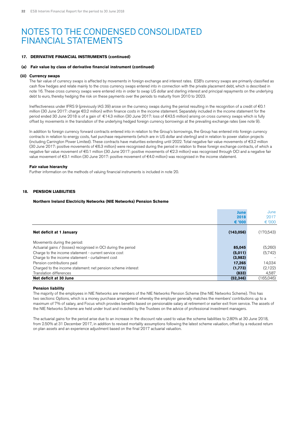#### **17. Derivative Financial Instruments (continued)**

#### **(a) Fair value by class of derivative financial instrument (continued)**

#### **(iii) Currency swaps**

The fair value of currency swaps is affected by movements in foreign exchange and interest rates. ESB's currency swaps are primarily classified as cash flow hedges and relate mainly to the cross currency swaps entered into in connection with the private placement debt, which is described in note 16. These cross currency swaps were entered into in order to swap US dollar and sterling interest and principal repayments on the underlying debt to euro, thereby hedging the risk on these payments over the periods to maturity from 2010 to 2023.

Ineffectiveness under IFRS 9 (previously IAS 39) arose on the currency swaps during the period resulting in the recognition of a credit of €0.1 million (30 June 2017: charge €0.2 million) within finance costs in the income statement. Separately included in the income statement for the period ended 30 June 2018 is of a gain of €14.3 million (30 June 2017: loss of €43.5 million) arising on cross currency swaps which is fully offset by movements in the translation of the underlying hedged foreign currency borrowings at the prevailing exchange rates (see note 9).

In addition to foreign currency forward contracts entered into in relation to the Group's borrowings, the Group has entered into foreign currency contracts in relation to energy costs, fuel purchase requirements (which are in US dollar and sterling) and in relation to power station projects (including Carrington Power Limited). These contracts have maturities extending until 2022. Total negative fair value movements of €3.2 million (30 June 2017: positive movements of €6.3 million) were recognised during the period in relation to these foreign exchange contracts, of which a negative fair value movement of €0.1 million (30 June 2017: positive movements of €2.3 million) was recognised through OCI and a negative fair value movement of €3.1 million (30 June 2017: positive movement of €4.0 million) was recognised in the income statement.

#### **Fair value hierarchy**

Further information on the methods of valuing financial instruments is included in note 20.

### **18. PENSION LIABILITIES**

### **Northern Ireland Electricity Networks (NIE Networks) Pension Scheme**

|                                                                | <b>June</b> | June            |
|----------------------------------------------------------------|-------------|-----------------|
|                                                                | 2018        | 2017            |
|                                                                | € '000      | $\epsilon$ '000 |
| Net deficit at 1 January                                       | (143, 056)  | (170,543)       |
| Movements during the period:                                   |             |                 |
| Actuarial gains / (losses) recognised in OCI during the period | 85,045      | (5,260)         |
| Charge to the income statement - current service cost          | (5,011)     | (5,742)         |
| Charge to the income statement - curtailment cost              | (3,983)     |                 |
| Pension contributions paid                                     | 17,265      | 14.034          |
| Charged to the income statement: net pension scheme interest   | (1,773)     | (2,122)         |
| Translation differences                                        | (833)       | 4.587           |
| Net deficit at 30 June                                         | (52, 346)   | (165,046)       |

#### **Pension liability**

The majority of the employees in NIE Networks are members of the NIE Networks Pension Scheme (the NIE Networks Scheme). This has two sections: Options, which is a money purchase arrangement whereby the employer generally matches the members' contributions up to a maximum of 7% of salary, and Focus which provides benefits based on pensionable salary at retirement or earlier exit from service. The assets of the NIE Networks Scheme are held under trust and invested by the Trustees on the advice of professional investment managers.

The actuarial gains for the period arise due to an increase in the discount rate used to value the scheme liabilities to 2.80% at 30 June 2018, from 2.50% at 31 December 2017, in addition to revised mortality assumptions following the latest scheme valuation, offset by a reduced return on plan assets and an experience adjustment based on the final 2017 actuarial valuation.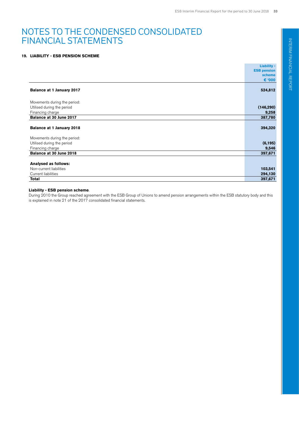### **19. LIABILITY - ESB PENSION SCHEME**

|                                  | Liability -        |
|----------------------------------|--------------------|
|                                  | <b>ESB pension</b> |
|                                  | scheme             |
|                                  | 6'000              |
| <b>Balance at 1 January 2017</b> | 524,812            |
| Movements during the period:     |                    |
| Utilised during the period       | (146, 290)         |
| Financing charge                 | 9,258              |
| Balance at 30 June 2017          | 387,780            |
| <b>Balance at 1 January 2018</b> | 394,320            |
| Movements during the period:     |                    |
| Utilised during the period       | (6, 195)           |
| Financing charge                 | 9,546              |
| Balance at 30 June 2018          | 397,671            |
|                                  |                    |
| <b>Analysed as follows:</b>      |                    |
| Non-current liabilities          | 103,541            |
| Current liabilities              | 294,130            |
| <b>Total</b>                     | 397,671            |

### **Liability - ESB pension scheme**.

During 2010 the Group reached agreement with the ESB Group of Unions to amend pension arrangements within the ESB statutory body and this is explained in note 21 of the 2017 consolidated financial statements.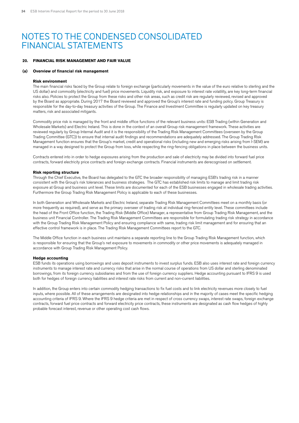### **20. FINANCIAL RISK MANAGEMENT AND FAIR VALUE**

### **(a) Overview of financial risk management**

#### **Risk environment**

The main financial risks faced by the Group relate to foreign exchange (particularly movements in the value of the euro relative to sterling and the US dollar) and commodity (electricity and fuel) price movements. Liquidity risk, and exposure to interest rate volatility, are key long-term financial risks also. Policies to protect the Group from these risks and other risk areas, such as credit risk are regularly reviewed, revised and approved by the Board as appropriate. During 2017 the Board reviewed and approved the Group's interest rate and funding policy. Group Treasury is responsible for the day-to-day treasury activities of the Group. The Finance and Investment Committee is regularly updated on key treasury matters, risk and associated mitigants.

Commodity price risk is managed by the front and middle office functions of the relevant business units: ESB Trading (within Generation and Wholesale Markets) and Electric Ireland. This is done in the context of an overall Group risk management framework. These activities are reviewed regularly by Group Internal Audit and it is the responsibility of the Trading Risk Management Committees (overseen by the Group Trading Committee (GTC)) to ensure that internal audit findings and recommendations are adequately addressed. The Group Trading Risk Management function ensures that the Group's market, credit and operational risks (including new and emerging risks arising from I-SEM) are managed in a way designed to protect the Group from loss, while respecting the ring-fencing obligations in place between the business units.

Contracts entered into in order to hedge exposures arising from the production and sale of electricity may be divided into forward fuel price contracts, forward electricity price contracts and foreign exchange contracts. Financial instruments are derecognised on settlement.

#### **Risk reporting structure**

Through the Chief Executive, the Board has delegated to the GTC the broader responsibility of managing ESB's trading risk in a manner consistent with the Group's risk tolerances and business strategies. The GTC has established risk limits to manage and limit trading risk exposure at Group and business unit level. These limits are documented for each of the ESB businesses engaged in wholesale trading activities. Furthermore the Group Trading Risk Management Policy is applicable to each of these businesses.

In both Generation and Wholesale Markets and Electric Ireland, separate Trading Risk Management Committees meet on a monthly basis (or more frequently as required), and serve as the primary overseer of trading risk at individual ring-fenced entity level. These committees include the head of the Front Office function, the Trading Risk (Middle Office) Manager, a representative from Group Trading Risk Management, and the business unit Financial Controller. The Trading Risk Management Committees are responsible for formulating trading risk strategy in accordance with the Group Trading Risk Management Policy and ensuring compliance with same, trading risk limit management and for ensuring that an effective control framework is in place. The Trading Risk Management Committees report to the GTC.

The Middle Office function in each business unit maintains a separate reporting line to the Group Trading Risk Management function, which is responsible for ensuring that the Group's net exposure to movements in commodity or other price movements is adequately managed in accordance with Group Trading Risk Management Policy.

#### **Hedge accounting**

ESB funds its operations using borrowings and uses deposit instruments to invest surplus funds. ESB also uses interest rate and foreign currency instruments to manage interest rate and currency risks that arise in the normal course of operations from US dollar and sterling denominated borrowings, from its foreign currency subsidiaries and from the use of foreign currency suppliers. Hedge accounting pursuant to IFRS 9 is used both for hedges of foreign currency liabilities and interest rate risks from current and non-current liabilities.

In addition, the Group enters into certain commodity hedging transactions to fix fuel costs and to link electricity revenues more closely to fuel inputs, where possible. All of these arrangements are designated into hedge relationships and in the majority of cases meet the specific hedging accounting criteria of IFRS 9. Where the IFRS 9 hedge criteria are met in respect of cross currency swaps, interest rate swaps, foreign exchange contracts, forward fuel price contracts and forward electricity price contracts, these instruments are designated as cash flow hedges of highly probable forecast interest, revenue or other operating cost cash flows.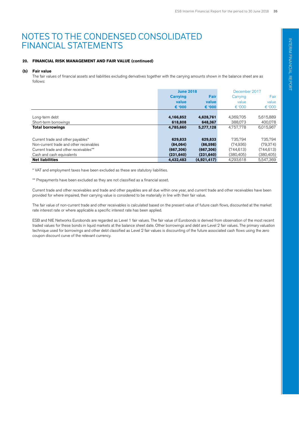# **01** Interim financial REPORT INTERIM FINANCIAL REPORT

### Notes to the Condensed Consolidated Financial Statements

### **20. FINANCIAL RISK MANAGEMENT AND FAIR VALUE (continued)**

### **(b) Fair value**

The fair values of financial assets and liabilities excluding derivatives together with the carrying amounts shown in the balance sheet are as follows:

|                                         | <b>June 2018</b> |                 | December 2017   |            |  |
|-----------------------------------------|------------------|-----------------|-----------------|------------|--|
|                                         | <b>Carrying</b>  | <b>Fair</b>     | Carrying        | Fair       |  |
|                                         | value            | value           | value           | value      |  |
|                                         | € '000           | $\epsilon$ '000 | $\epsilon$ '000 | € '000     |  |
|                                         |                  |                 |                 |            |  |
| Long-term debt                          | 4,166,852        | 4,628,761       | 4,369,705       | 5,615,889  |  |
| Short-term borrowings                   | 618,808          | 648.367         | 388,073         | 400.078    |  |
| <b>Total borrowings</b>                 | 4,785,660        | 5,277,128       | 4.757.778       | 6,015,967  |  |
| Current trade and other payables*       | 629,833          | 629,833         | 735.794         | 735.794    |  |
| Non-current trade and other receivables | (84.064)         | (86,598)        | (74.936)        | (79, 374)  |  |
| Current trade and other receivables**   | (667, 306)       | (667, 306)      | (744.613)       | (744, 613) |  |
| Cash and cash equivalents               | (231, 640)       | (231, 640)      | (380.405)       | (380,405)  |  |
| <b>Net liabilities</b>                  | 4,432,483        | (4.921.417)     | 4.293.618       | 5.547.369  |  |

\* VAT and employment taxes have been excluded as these are statutory liabilities.

\*\* Prepayments have been excluded as they are not classified as a financial asset.

Current trade and other receivables and trade and other payables are all due within one year, and current trade and other receivables have been provided for where impaired, their carrying value is considered to be materially in line with their fair value.

The fair value of non-current trade and other receivables is calculated based on the present value of future cash flows, discounted at the market rate interest rate or where applicable a specific interest rate has been applied.

ESB and NIE Networks Eurobonds are regarded as Level 1 fair values. The fair value of Eurobonds is derived from observation of the most recent traded values for these bonds in liquid markets at the balance sheet date. Other borrowings and debt are Level 2 fair values. The primary valuation technique used for borrowings and other debt classified as Level 2 fair values is discounting of the future associated cash flows using the zero coupon discount curve of the relevant currency.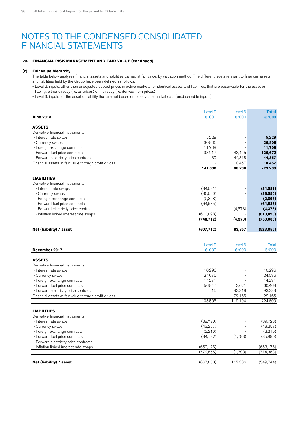### **20. FINANCIAL RISK MANAGEMENT AND FAIR VALUE (continued)**

### **(c) Fair value hierarchy**

The table below analyses financial assets and liabilities carried at fair value, by valuation method. The different levels relevant to financial assets and liabilities held by the Group have been defined as follows:

- Level 2: inputs, other than unadjusted quoted prices in active markets for identical assets and liabilities, that are observable for the asset or liability, either directly (i.e. as prices) or indirectly (i.e. derived from prices);

- Level 3: inputs for the asset or liability that are not based on observable market data (unobservable inputs).

|                                                       | Level 2    | Level 3                  | <b>Total</b>    |
|-------------------------------------------------------|------------|--------------------------|-----------------|
| <b>June 2018</b>                                      | € '000     | € '000                   | € '000          |
|                                                       |            |                          |                 |
| <b>ASSETS</b>                                         |            |                          |                 |
| Derivative financial instruments                      |            |                          |                 |
| - Interest rate swaps                                 | 5,229      |                          | 5,229           |
| - Currency swaps                                      | 30,806     |                          | 30,806          |
| - Foreign exchange contracts                          | 11,709     |                          | 11,709          |
| - Forward fuel price contracts                        | 93,217     | 33,455                   | 126,672         |
| - Forward electricity price contracts                 | 39         | 44,318                   | 44,357          |
| Financial assets at fair value through profit or loss |            | 10,457                   | 10,457          |
|                                                       | 141,000    | 88,230                   | 229,230         |
| <b>LIABILITIES</b>                                    |            |                          |                 |
| Derivative financial instruments                      |            |                          |                 |
| - Interest rate swaps                                 | (34,581)   |                          | (34,581)        |
| - Currency swaps                                      | (36,550)   |                          | (36, 550)       |
| - Foreign exchange contracts                          | (2,898)    |                          | (2,898)         |
| - Forward fuel price contracts                        | (64, 585)  |                          | (64, 585)       |
| - Forward electricity price contracts                 |            | (4,373)                  | (4, 373)        |
| - Inflation linked interest rate swaps                | (610,098)  |                          | (610, 098)      |
|                                                       | (748, 712) | (4, 373)                 | (753, 085)      |
|                                                       |            |                          |                 |
| Net (liability) / asset                               | (607,712)  | 83,857                   | (523, 855)      |
|                                                       |            |                          |                 |
|                                                       | Level 2    | Level <sub>3</sub>       | Total           |
| December 2017                                         | € '000     | € '000                   | $\epsilon$ '000 |
|                                                       |            |                          |                 |
| <b>ASSETS</b>                                         |            |                          |                 |
| Derivative financial instruments                      |            |                          |                 |
| - Interest rate swaps                                 | 10,296     |                          | 10,296          |
| - Currency swaps                                      | 24,076     |                          | 24,076          |
| - Foreign exchange contracts                          | 14,271     |                          | 14,271          |
| - Forward fuel price contracts                        | 56,847     | 3,621                    | 60,468          |
| - Forward electricity price contracts                 | 15         | 93,318                   | 93,333          |
| Financial assets at fair value through profit or loss |            | 22,165                   | 22,165          |
|                                                       | 105,505    | 119,104                  | 224,609         |
|                                                       |            |                          |                 |
| <b>LIABILITIES</b>                                    |            |                          |                 |
| Derivative financial instruments                      |            |                          |                 |
| - Interest rate swaps                                 | (39,720)   |                          | (39,720)        |
| - Currency swaps                                      | (43,257)   | $\overline{\phantom{a}}$ | (43,257)        |
| - Foreign exchange contracts                          | (2,210)    |                          | (2,210)         |
| - Forward fuel price contracts                        | (34, 192)  | (1,798)                  | (35,990)        |
| - Forward electricity price contracts                 |            |                          |                 |
| - Inflation linked interest rate swaps                | (653, 176) |                          | (653, 176)      |
|                                                       | (772,555)  | (1,798)                  | (774, 353)      |
|                                                       | (667,050)  | 117,306                  | (549,744)       |
| Net (liability) / asset                               |            |                          |                 |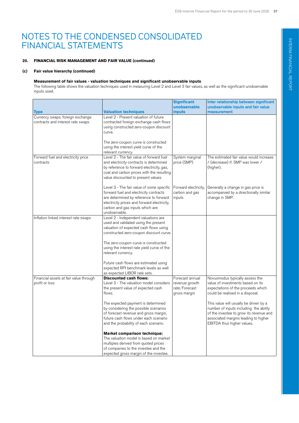### **20. FINANCIAL RISK MANAGEMENT AND FAIR VALUE (continued)**

### **(c) Fair value hierarchy (continued)**

### **Measurement of fair values - valuation techniques and significant unobservable inputs**

The following table shows the valuation techniques used in measuring Level 2 and Level 3 fair values, as well as the significant unobservable inputs used.

|                                                 |                                                                             | <b>Significant</b><br>unobservable | Inter relationship between significant                                           |
|-------------------------------------------------|-----------------------------------------------------------------------------|------------------------------------|----------------------------------------------------------------------------------|
|                                                 |                                                                             |                                    | unobservable inputs and fair value                                               |
| <b>Type</b><br>Currency swaps, foreign exchange | <b>Valuation techniques</b><br>Level 2 - Present valuation of future        | <b>inputs</b>                      | measurement                                                                      |
| contracts and interest rate swaps               | contracted foreign exchange cash flows                                      |                                    |                                                                                  |
|                                                 | using constructed zero-coupon discount                                      |                                    |                                                                                  |
|                                                 | curve.                                                                      |                                    |                                                                                  |
|                                                 |                                                                             |                                    |                                                                                  |
|                                                 | The zero-coupon curve is constructed                                        |                                    |                                                                                  |
|                                                 | using the interest yield curve of the                                       |                                    |                                                                                  |
|                                                 | relevant currency.                                                          |                                    |                                                                                  |
| Forward fuel and electricity price              | Level 2 - The fair value of forward fuel                                    | System marginal                    | The estimated fair value would increase                                          |
| contracts                                       | and electricity contracts is determined                                     | price (SMP)                        | / (decrease) if: SMP was lower /                                                 |
|                                                 | by reference to forward electricity, gas,                                   |                                    | (higher).                                                                        |
|                                                 | coal and carbon prices with the resulting                                   |                                    |                                                                                  |
|                                                 | value discounted to present values.                                         |                                    |                                                                                  |
|                                                 |                                                                             |                                    |                                                                                  |
|                                                 | Level 3 - The fair value of some specific                                   | Forward electricity,               | Generally a change in gas price is                                               |
|                                                 | forward fuel and electricity contracts                                      | carbon and gas                     | accompanied by a directionally similar                                           |
|                                                 | are determined by reference to forward                                      | inputs                             | change in SMP.                                                                   |
|                                                 | electricity prices and forward electricity,                                 |                                    |                                                                                  |
|                                                 | carbon and gas inputs which are                                             |                                    |                                                                                  |
|                                                 | unobservable.                                                               |                                    |                                                                                  |
| Inflation linked interest rate swaps            | Level 2 - Independent valuations are                                        |                                    |                                                                                  |
|                                                 | used and validated using the present                                        |                                    |                                                                                  |
|                                                 | valuation of expected cash flows using                                      |                                    |                                                                                  |
|                                                 | constructed zero-coupon discount curve.                                     |                                    |                                                                                  |
|                                                 |                                                                             |                                    |                                                                                  |
|                                                 | The zero-coupon curve is constructed                                        |                                    |                                                                                  |
|                                                 | using the interest rate yield curve of the                                  |                                    |                                                                                  |
|                                                 | relevant currency.                                                          |                                    |                                                                                  |
|                                                 |                                                                             |                                    |                                                                                  |
|                                                 | Future cash flows are estimated using                                       |                                    |                                                                                  |
|                                                 | expected RPI benchmark levels as well                                       |                                    |                                                                                  |
|                                                 | as expected LIBOR rate sets.                                                |                                    |                                                                                  |
| Financial assets at fair value through          | <b>Discounted cash flows:</b>                                               | Forecast annual                    | Novusmodus typically assess the                                                  |
| profit or loss                                  | Level 3 - The valuation model considers                                     | revenue growth                     | value of investments based on its                                                |
|                                                 | the present value of expected cash                                          | rate; Forecast                     | expectations of the proceeds which                                               |
|                                                 | flows.                                                                      | gross margin                       | could be realised in a disposal.                                                 |
|                                                 |                                                                             |                                    |                                                                                  |
|                                                 | The expected payment is determined<br>by considering the possible scenarios |                                    | This value will usually be driven by a<br>number of inputs including the ability |
|                                                 | of forecast revenue and gross margin,                                       |                                    | of the investee to grow its revenue and                                          |
|                                                 | future cash flows under each scenario                                       |                                    | associated margins leading to higher                                             |
|                                                 | and the probability of each scenario.                                       |                                    | EBITDA thus higher values.                                                       |
|                                                 |                                                                             |                                    |                                                                                  |
|                                                 | <b>Market comparison technique:</b>                                         |                                    |                                                                                  |
|                                                 | The valuation model is based on market                                      |                                    |                                                                                  |
|                                                 | multiples derived from quoted prices                                        |                                    |                                                                                  |
|                                                 | of companies to the investee and the                                        |                                    |                                                                                  |
|                                                 | expected gross margin of the investee.                                      |                                    |                                                                                  |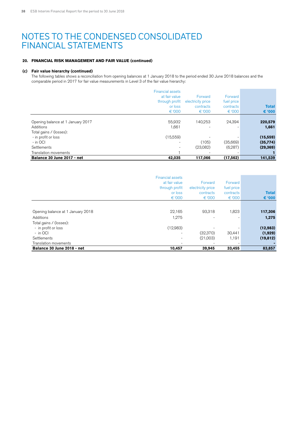### **20. FINANCIAL RISK MANAGEMENT AND FAIR VALUE (continued)**

### **(c) Fair value hierarchy (continued)**

The following tables shows a reconciliation from opening balances at 1 January 2018 to the period ended 30 June 2018 balances and the comparable period in 2017 for fair value measurements in Level 3 of the fair value hierarchy:

| (105)<br>(35,669)<br>(23,082)<br>(6, 287) |                                                                 |
|-------------------------------------------|-----------------------------------------------------------------|
|                                           | (15, 559)<br>(35, 774)<br>(29, 369)                             |
|                                           |                                                                 |
|                                           |                                                                 |
|                                           |                                                                 |
|                                           |                                                                 |
|                                           | 1,661                                                           |
| 140.253                                   | 220,579                                                         |
| $\epsilon$ '000                           | 600                                                             |
| contracts                                 | <b>Total</b>                                                    |
| Forward<br>electricity price              |                                                                 |
|                                           | Forward<br>fuel price<br>contracts<br>$\epsilon$ '000<br>24.394 |

|                                   | <b>Financial assets</b><br>at fair value<br>through profit<br>or loss<br>$\epsilon$ '000 | Forward<br>electricity price<br>contracts<br>$\epsilon$ '000 | Forward<br>fuel price<br>contracts<br>6000 | <b>Total</b><br>€ '000 |
|-----------------------------------|------------------------------------------------------------------------------------------|--------------------------------------------------------------|--------------------------------------------|------------------------|
|                                   |                                                                                          |                                                              |                                            |                        |
| Opening balance at 1 January 2018 | 22.165                                                                                   | 93,318                                                       | 1,823                                      | 117,306                |
| Additions                         | 1.275                                                                                    |                                                              |                                            | 1,275                  |
| Total gains / (losses):           |                                                                                          |                                                              |                                            |                        |
| - in profit or loss               | (12,983)                                                                                 |                                                              |                                            | (12, 983)              |
| - in OCI                          |                                                                                          | (32,370)                                                     | 30.441                                     | (1, 929)               |
| Settlements                       | -                                                                                        | (21,003)                                                     | 1,191                                      | (19, 812)              |
| Translation movements             |                                                                                          |                                                              |                                            |                        |
| Balance 30 June 2018 - net        | 10,457                                                                                   | 39.945                                                       | 33,455                                     | 83,857                 |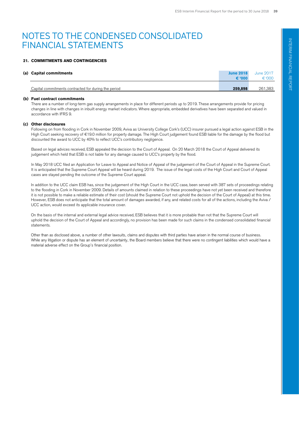### **21. COMMITMENTS AND CONTINGENCIES**

| (a) Capital commitments                              | <b>June 2018</b> | June 2017       |
|------------------------------------------------------|------------------|-----------------|
|                                                      | $\epsilon$ '000  | $\epsilon$ '000 |
|                                                      |                  |                 |
| Capital commitments contracted for during the period | 259.898          | 261,383         |

### **(b) Fuel contract commitments**

There are a number of long-term gas supply arrangements in place for different periods up to 2019. These arrangements provide for pricing changes in line with changes in inbuilt energy market indicators. Where appropriate, embedded derivatives have been separated and valued in accordance with IFRS 9.

### **(c) Other disclosures**

Following on from flooding in Cork in November 2009, Aviva as University College Cork's (UCC) insurer pursued a legal action against ESB in the High Court seeking recovery of €19.0 million for property damage. The High Court judgement found ESB liable for the damage by the flood but discounted the award to UCC by 40% to reflect UCC's contributory negligence.

Based on legal advices received, ESB appealed the decision to the Court of Appeal. On 20 March 2018 the Court of Appeal delivered its judgement which held that ESB is not liable for any damage caused to UCC's property by the flood.

In May 2018 UCC filed an Application for Leave to Appeal and Notice of Appeal of the judgement of the Court of Appeal in the Supreme Court. It is anticipated that the Supreme Court Appeal will be heard during 2019. The issue of the legal costs of the High Court and Court of Appeal cases are stayed pending the outcome of the Supreme Court appeal.

In addition to the UCC claim ESB has, since the judgement of the High Court in the UCC case, been served with 387 sets of proceedings relating to the flooding in Cork in November 2009. Details of amounts claimed in relation to these proceedings have not yet been received and therefore it is not possible to make a reliable estimate of their cost (should the Supreme Court not uphold the decision of the Court of Appeal) at this time. However, ESB does not anticipate that the total amount of damages awarded, if any, and related costs for all of the actions, including the Aviva / UCC action, would exceed its applicable insurance cover.

On the basis of the internal and external legal advice received, ESB believes that it is more probable than not that the Supreme Court will uphold the decision of the Court of Appeal and accordingly, no provision has been made for such claims in the condensed consolidated financial statements.

Other than as disclosed above, a number of other lawsuits, claims and disputes with third parties have arisen in the normal course of business. While any litigation or dispute has an element of uncertainty, the Board members believe that there were no contingent liabilities which would have a material adverse effect on the Group's financial position.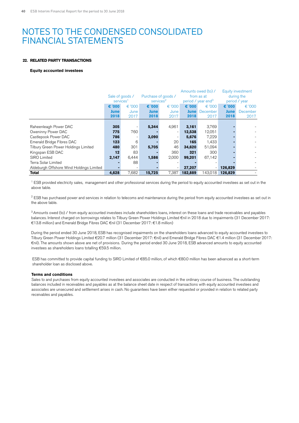#### **22. RELATED PARTY TRANSACTIONS**

### **Equity accounted investees**

|                                          | Sale of goods /<br>services <sup>1</sup> |                 | Purchase of goods /<br>services <sup>2</sup> |                          | Amounts owed (to) /<br>from as at<br>period / year end <sup>3</sup> |                 | Equity investment<br>during the<br>period / year |          |
|------------------------------------------|------------------------------------------|-----------------|----------------------------------------------|--------------------------|---------------------------------------------------------------------|-----------------|--------------------------------------------------|----------|
|                                          | € '000                                   | $\epsilon$ '000 | $\epsilon$ '000                              | $\epsilon$ '000          | € '000                                                              | $\epsilon$ '000 | $\epsilon$ '000                                  | € '000   |
|                                          | <b>June</b>                              | June            | <b>June</b>                                  | June                     | <b>June</b>                                                         | December        | <b>June</b>                                      | December |
|                                          | 2018                                     | 2017            | 2018                                         | 2017                     | 2018                                                                | 2017            | 2018                                             | 2017     |
|                                          |                                          |                 |                                              |                          |                                                                     |                 |                                                  |          |
| Raheenleagh Power DAC                    | 305                                      |                 | 5,344                                        | 4,961                    | 3,161                                                               | 3,769           |                                                  |          |
| Oweninny Power DAC                       | 775                                      | 760             |                                              | $\overline{\phantom{a}}$ | 12,538                                                              | 12,051          |                                                  |          |
| Castlepook Power DAC                     | 786                                      |                 | 3,090                                        | $\overline{\phantom{a}}$ | 5,676                                                               | 7,229           |                                                  |          |
| Emerald Bridge Fibres DAC                | 123                                      | 6               |                                              | 20                       | 165                                                                 | 1,433           |                                                  |          |
| Tilbury Green Power Holdings Limited     | 480                                      | 301             | 5,705                                        | 46                       | 34,620                                                              | 51,094          |                                                  |          |
| Kingspan ESB DAC                         | 12                                       | 83              |                                              | 360                      | 321                                                                 | 300             |                                                  |          |
| SIRO Limited                             | 2,147                                    | 6,444           | 1,586                                        | 2,000                    | 99,201                                                              | 67,142          |                                                  |          |
| Terra Solar Limited                      |                                          | 88              |                                              |                          |                                                                     |                 |                                                  |          |
| Aldeburgh Offshore Wind Holdings Limited |                                          |                 |                                              | $\overline{\phantom{a}}$ | 27,207                                                              |                 | 126,829                                          |          |
| <b>Total</b>                             | 4,628                                    | 7,682           | 15,725                                       | 7.387                    | 182.889                                                             | 143,018         | 126,829                                          |          |

1 ESB provided electricity sales, management and other professional services during the period to equity accounted investees as set out in the above table.

<sup>2</sup> ESB has purchased power and services in relation to telecoms and maintenance during the period from equity accounted investees as set out in the above table.

 $3$  Amounts owed (to) / from equity accounted investees include shareholders loans, interest on these loans and trade receivables and payables balances. Interest charged on borrowings relates to Tilbury Green Power Holdings Limited €nil in 2018 due to impairments (31 December 2017: €13.8 million) and Emerald Bridge Fibres DAC €nil (31 December 2017: €1.8 million)

During the period ended 30 June 2018, ESB has recognised impairments on the shareholders loans advanced to equity accounted investees to Tilbury Green Power Holdings Limited €20.7 million (31 December 2017: €nil) and Emerald Bridge Fibres DAC €1.4 million (31 December 2017: €nil). The amounts shown above are net of provisions. During the period ended 30 June 2018, ESB advanced amounts to equity accounted investees as shareholders loans totalling €59.5 million.

ESB has committed to provide capital funding to SIRO Limited of €85.0 million, of which €80.0 million has been advanced as a short-term shareholder loan as disclosed above.

### **Terms and conditions**

Sales to and purchases from equity accounted investees and associates are conducted in the ordinary course of business. The outstanding balances included in receivables and payables as at the balance sheet date in respect of transactions with equity accounted investees and associates are unsecured and settlement arises in cash. No guarantees have been either requested or provided in relation to related party receivables and payables.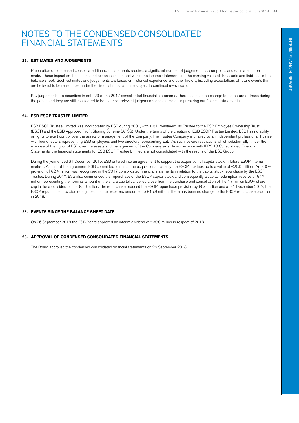### **23. ESTIMATES AND JUDGEMENTS**

Preparation of condensed consolidated financial statements requires a significant number of judgemental assumptions and estimates to be made. These impact on the income and expenses contained within the income statement and the carrying value of the assets and liabilities in the balance sheet. Such estimates and judgements are based on historical experience and other factors, including expectations of future events that are believed to be reasonable under the circumstances and are subject to continual re-evaluation.

Key judgements are described in note 29 of the 2017 consolidated financial statements. There has been no change to the nature of these during the period and they are still considered to be the most relevant judgements and estimates in preparing our financial statements.

### **24. ESB ESOP TRUSTEE LIMITED**

ESB ESOP Trustee Limited was incorporated by ESB during 2001, with a €1 investment, as Trustee to the ESB Employee Ownership Trust (ESOT) and the ESB Approved Profit Sharing Scheme (APSS). Under the terms of the creation of ESB ESOP Trustee Limited, ESB has no ability or rights to exert control over the assets or management of the Company. The Trustee Company is chaired by an independent professional Trustee with four directors representing ESB employees and two directors representing ESB. As such, severe restrictions which substantially hinder the exercise of the rights of ESB over the assets and management of the Company exist. In accordance with IFRS 10 Consolidated Financial Statements, the financial statements for ESB ESOP Trustee Limited are not consolidated with the results of the ESB Group.

During the year ended 31 December 2015, ESB entered into an agreement to support the acquisition of capital stock in future ESOP internal markets. As part of the agreement ESB committed to match the acquisitions made by the ESOP Trustees up to a value of €25.0 million. An ESOP provision of €2.4 million was recognised in the 2017 consolidated financial statements in relation to the capital stock repurchase by the ESOP Trustee. During 2017, ESB also commenced the repurchase of the ESOP capital stock and consequently a capital redemption reserve of  $\epsilon 4.7$ million representing the nominal amount of the share capital cancelled arose from the purchase and cancellation of the 4.7 million ESOP share capital for a consideration of €5.6 million. The repurchase reduced the ESOP repurchase provision by €5.6 million and at 31 December 2017, the ESOP repurchase provision recognised in other reserves amounted to €15.9 million. There has been no change to the ESOP repurchase provision in 2018.

#### **25. Events since the balance sheet date**

On 26 September 2018 the ESB Board approved an interim dividend of €30.0 million in respect of 2018.

### **26. APPROVAL OF CONDENSED CONSOLIDATED FINANCIAL STATEMENTS**

The Board approved the condensed consolidated financial statements on 26 September 2018.